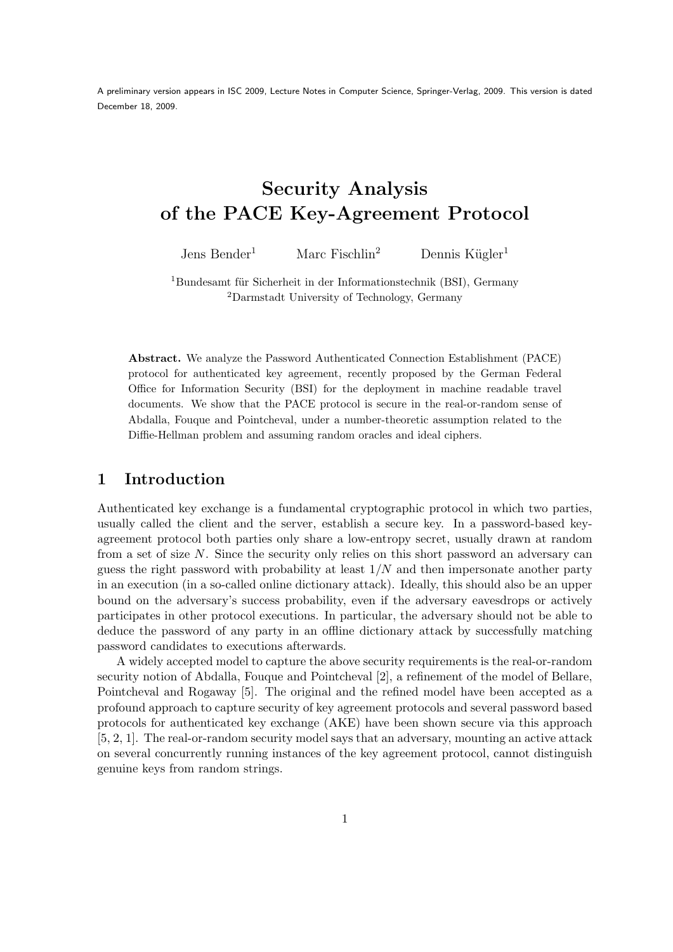A preliminary version appears in ISC 2009, Lecture Notes in Computer Science, Springer-Verlag, 2009. This version is dated December 18, 2009.

# Security Analysis of the PACE Key-Agreement Protocol

Jens Bender<sup>1</sup> Marc Fischlin<sup>2</sup> Dennis Kügler<sup>1</sup>

 $1$ Bundesamt für Sicherheit in der Informationstechnik (BSI), Germany <sup>2</sup>Darmstadt University of Technology, Germany

Abstract. We analyze the Password Authenticated Connection Establishment (PACE) protocol for authenticated key agreement, recently proposed by the German Federal Office for Information Security (BSI) for the deployment in machine readable travel documents. We show that the PACE protocol is secure in the real-or-random sense of Abdalla, Fouque and Pointcheval, under a number-theoretic assumption related to the Diffie-Hellman problem and assuming random oracles and ideal ciphers.

### 1 Introduction

Authenticated key exchange is a fundamental cryptographic protocol in which two parties, usually called the client and the server, establish a secure key. In a password-based keyagreement protocol both parties only share a low-entropy secret, usually drawn at random from a set of size N. Since the security only relies on this short password an adversary can guess the right password with probability at least  $1/N$  and then impersonate another party in an execution (in a so-called online dictionary attack). Ideally, this should also be an upper bound on the adversary's success probability, even if the adversary eavesdrops or actively participates in other protocol executions. In particular, the adversary should not be able to deduce the password of any party in an offline dictionary attack by successfully matching password candidates to executions afterwards.

A widely accepted model to capture the above security requirements is the real-or-random security notion of Abdalla, Fouque and Pointcheval [2], a refinement of the model of Bellare, Pointcheval and Rogaway [5]. The original and the refined model have been accepted as a profound approach to capture security of key agreement protocols and several password based protocols for authenticated key exchange (AKE) have been shown secure via this approach [5, 2, 1]. The real-or-random security model says that an adversary, mounting an active attack on several concurrently running instances of the key agreement protocol, cannot distinguish genuine keys from random strings.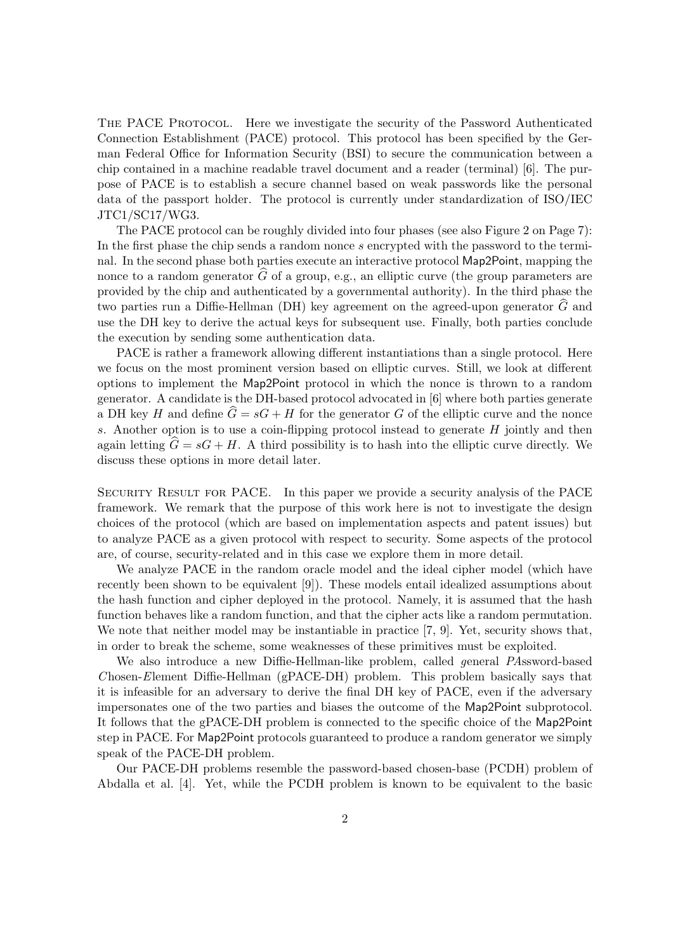THE PACE PROTOCOL. Here we investigate the security of the Password Authenticated Connection Establishment (PACE) protocol. This protocol has been specified by the German Federal Office for Information Security (BSI) to secure the communication between a chip contained in a machine readable travel document and a reader (terminal) [6]. The purpose of PACE is to establish a secure channel based on weak passwords like the personal data of the passport holder. The protocol is currently under standardization of ISO/IEC JTC1/SC17/WG3.

The PACE protocol can be roughly divided into four phases (see also Figure 2 on Page 7): In the first phase the chip sends a random nonce s encrypted with the password to the terminal. In the second phase both parties execute an interactive protocol Map2Point, mapping the nonce to a random generator  $\tilde{G}$  of a group, e.g., an elliptic curve (the group parameters are provided by the chip and authenticated by a governmental authority). In the third phase the two parties run a Diffie-Hellman (DH) key agreement on the agreed-upon generator  $G$  and use the DH key to derive the actual keys for subsequent use. Finally, both parties conclude the execution by sending some authentication data.

PACE is rather a framework allowing different instantiations than a single protocol. Here we focus on the most prominent version based on elliptic curves. Still, we look at different options to implement the Map2Point protocol in which the nonce is thrown to a random generator. A candidate is the DH-based protocol advocated in [6] where both parties generate a DH key H and define  $\hat{G} = sG + H$  for the generator G of the elliptic curve and the nonce s. Another option is to use a coin-flipping protocol instead to generate  $H$  jointly and then again letting  $\hat{G} = sG + H$ . A third possibility is to hash into the elliptic curve directly. We discuss these options in more detail later.

Security Result for PACE. In this paper we provide a security analysis of the PACE framework. We remark that the purpose of this work here is not to investigate the design choices of the protocol (which are based on implementation aspects and patent issues) but to analyze PACE as a given protocol with respect to security. Some aspects of the protocol are, of course, security-related and in this case we explore them in more detail.

We analyze PACE in the random oracle model and the ideal cipher model (which have recently been shown to be equivalent [9]). These models entail idealized assumptions about the hash function and cipher deployed in the protocol. Namely, it is assumed that the hash function behaves like a random function, and that the cipher acts like a random permutation. We note that neither model may be instantiable in practice [7, 9]. Yet, security shows that, in order to break the scheme, some weaknesses of these primitives must be exploited.

We also introduce a new Diffie-Hellman-like problem, called general PAssword-based Chosen-Element Diffie-Hellman (gPACE-DH) problem. This problem basically says that it is infeasible for an adversary to derive the final DH key of PACE, even if the adversary impersonates one of the two parties and biases the outcome of the Map2Point subprotocol. It follows that the gPACE-DH problem is connected to the specific choice of the Map2Point step in PACE. For Map2Point protocols guaranteed to produce a random generator we simply speak of the PACE-DH problem.

Our PACE-DH problems resemble the password-based chosen-base (PCDH) problem of Abdalla et al. [4]. Yet, while the PCDH problem is known to be equivalent to the basic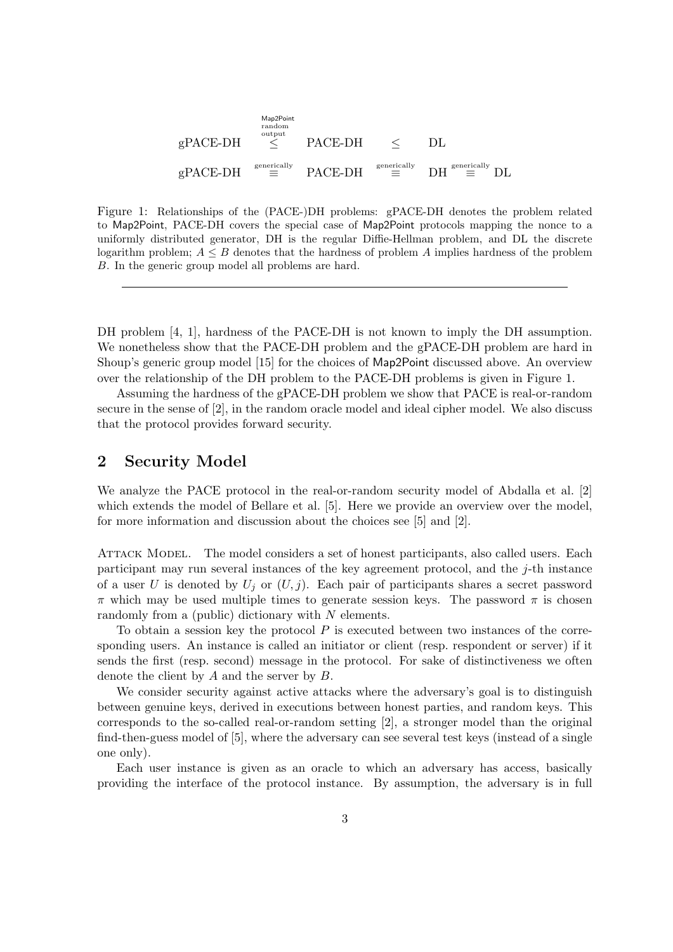$$
\begin{array}{ccc}\scriptstyle\text{Map2Point}\\ \scriptstyle\text{random}\\ \scriptstyle\text{output}\end{array}\quad\mathsf{PACE-DH}\quad\leq\quad\text{DL}\\ \scriptstyle\text{gPACE-DH}\quad\overset{\scriptstyle\text{Map2Point}}{\equiv}\quad\text{PACE-DH}\quad\overset{\scriptstyle\text{generally}}{\equiv}\quad\text{DH}\stackrel{\scriptstyle\text{generally}}{\equiv}\quad\text{DL}
$$

Figure 1: Relationships of the (PACE-)DH problems: gPACE-DH denotes the problem related to Map2Point, PACE-DH covers the special case of Map2Point protocols mapping the nonce to a uniformly distributed generator, DH is the regular Diffie-Hellman problem, and DL the discrete logarithm problem;  $A \leq B$  denotes that the hardness of problem A implies hardness of the problem B. In the generic group model all problems are hard.

DH problem [4, 1], hardness of the PACE-DH is not known to imply the DH assumption. We nonetheless show that the PACE-DH problem and the gPACE-DH problem are hard in Shoup's generic group model [15] for the choices of Map2Point discussed above. An overview over the relationship of the DH problem to the PACE-DH problems is given in Figure 1.

Assuming the hardness of the gPACE-DH problem we show that PACE is real-or-random secure in the sense of [2], in the random oracle model and ideal cipher model. We also discuss that the protocol provides forward security.

# 2 Security Model

We analyze the PACE protocol in the real-or-random security model of Abdalla et al. [2] which extends the model of Bellare et al. [5]. Here we provide an overview over the model, for more information and discussion about the choices see [5] and [2].

ATTACK MODEL. The model considers a set of honest participants, also called users. Each participant may run several instances of the key agreement protocol, and the  $j$ -th instance of a user U is denoted by  $U_j$  or  $(U, j)$ . Each pair of participants shares a secret password  $\pi$  which may be used multiple times to generate session keys. The password  $\pi$  is chosen randomly from a (public) dictionary with N elements.

To obtain a session key the protocol  $P$  is executed between two instances of the corresponding users. An instance is called an initiator or client (resp. respondent or server) if it sends the first (resp. second) message in the protocol. For sake of distinctiveness we often denote the client by  $A$  and the server by  $B$ .

We consider security against active attacks where the adversary's goal is to distinguish between genuine keys, derived in executions between honest parties, and random keys. This corresponds to the so-called real-or-random setting [2], a stronger model than the original find-then-guess model of [5], where the adversary can see several test keys (instead of a single one only).

Each user instance is given as an oracle to which an adversary has access, basically providing the interface of the protocol instance. By assumption, the adversary is in full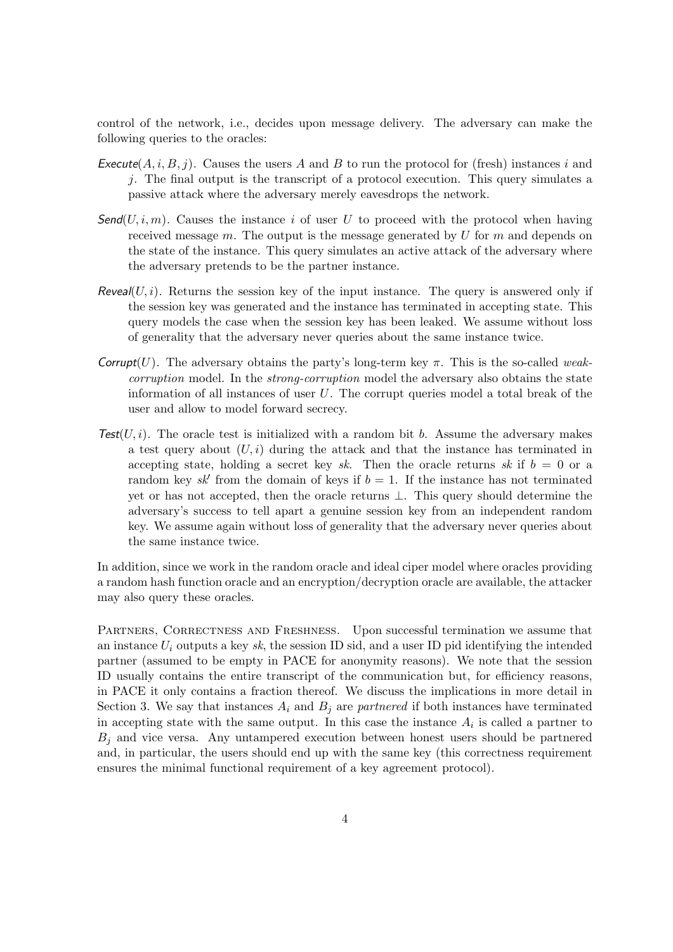control of the network, i.e., decides upon message delivery. The adversary can make the following queries to the oracles:

- Execute( $A, i, B, j$ ). Causes the users A and B to run the protocol for (fresh) instances i and j. The final output is the transcript of a protocol execution. This query simulates a passive attack where the adversary merely eavesdrops the network.
- Send $(U, i, m)$ . Causes the instance i of user U to proceed with the protocol when having received message  $m$ . The output is the message generated by U for  $m$  and depends on the state of the instance. This query simulates an active attack of the adversary where the adversary pretends to be the partner instance.
- Reveal( $U, i$ ). Returns the session key of the input instance. The query is answered only if the session key was generated and the instance has terminated in accepting state. This query models the case when the session key has been leaked. We assume without loss of generality that the adversary never queries about the same instance twice.
- Corrupt(U). The adversary obtains the party's long-term key  $\pi$ . This is the so-called weakcorruption model. In the strong-corruption model the adversary also obtains the state information of all instances of user  $U$ . The corrupt queries model a total break of the user and allow to model forward secrecy.
- **Test** $(U, i)$ . The oracle test is initialized with a random bit b. Assume the adversary makes a test query about  $(U, i)$  during the attack and that the instance has terminated in accepting state, holding a secret key sk. Then the oracle returns sk if  $b = 0$  or a random key sk' from the domain of keys if  $b = 1$ . If the instance has not terminated yet or has not accepted, then the oracle returns ⊥. This query should determine the adversary's success to tell apart a genuine session key from an independent random key. We assume again without loss of generality that the adversary never queries about the same instance twice.

In addition, since we work in the random oracle and ideal ciper model where oracles providing a random hash function oracle and an encryption/decryption oracle are available, the attacker may also query these oracles.

PARTNERS, CORRECTNESS AND FRESHNESS. Upon successful termination we assume that an instance  $U_i$  outputs a key sk, the session ID sid, and a user ID pid identifying the intended partner (assumed to be empty in PACE for anonymity reasons). We note that the session ID usually contains the entire transcript of the communication but, for efficiency reasons, in PACE it only contains a fraction thereof. We discuss the implications in more detail in Section 3. We say that instances  $A_i$  and  $B_j$  are partnered if both instances have terminated in accepting state with the same output. In this case the instance  $A_i$  is called a partner to  $B_i$  and vice versa. Any untampered execution between honest users should be partnered and, in particular, the users should end up with the same key (this correctness requirement ensures the minimal functional requirement of a key agreement protocol).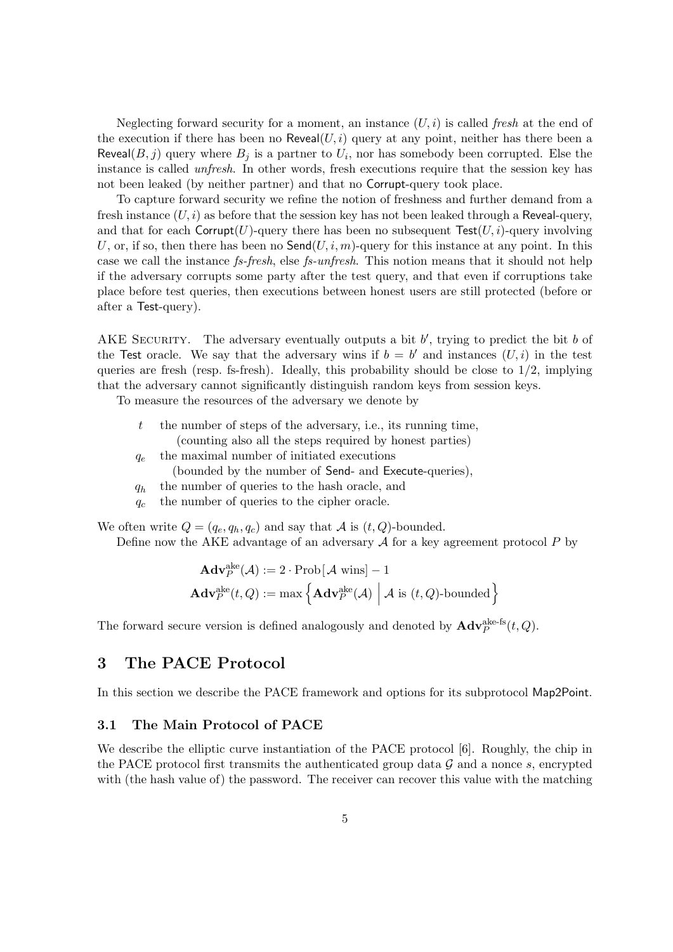Neglecting forward security for a moment, an instance  $(U, i)$  is called fresh at the end of the execution if there has been no Reveal $(U, i)$  query at any point, neither has there been a Reveal $(B, j)$  query where  $B_j$  is a partner to  $U_i$ , nor has somebody been corrupted. Else the instance is called unfresh. In other words, fresh executions require that the session key has not been leaked (by neither partner) and that no Corrupt-query took place.

To capture forward security we refine the notion of freshness and further demand from a fresh instance  $(U, i)$  as before that the session key has not been leaked through a Reveal-query, and that for each Corrupt(U)-query there has been no subsequent  $Test(U, i)$ -query involving U, or, if so, then there has been no  $\text{Send}(U, i, m)$ -query for this instance at any point. In this case we call the instance fs-fresh, else fs-unfresh. This notion means that it should not help if the adversary corrupts some party after the test query, and that even if corruptions take place before test queries, then executions between honest users are still protected (before or after a Test-query).

AKE SECURITY. The adversary eventually outputs a bit  $b'$ , trying to predict the bit  $b$  of the Test oracle. We say that the adversary wins if  $b = b'$  and instances  $(U, i)$  in the test queries are fresh (resp. fs-fresh). Ideally, this probability should be close to  $1/2$ , implying that the adversary cannot significantly distinguish random keys from session keys.

To measure the resources of the adversary we denote by

- $t$  the number of steps of the adversary, i.e., its running time, (counting also all the steps required by honest parties)
- $q_e$  the maximal number of initiated executions
- (bounded by the number of Send- and Execute-queries),
- $q_h$  the number of queries to the hash oracle, and
- $q_c$  the number of queries to the cipher oracle.

We often write  $Q = (q_e, q_h, q_c)$  and say that A is  $(t, Q)$ -bounded.

Define now the AKE advantage of an adversary  $A$  for a key agreement protocol  $P$  by

$$
\mathbf{Adv}_{P}^{\text{ake}}(\mathcal{A}) := 2 \cdot \text{Prob}[\mathcal{A} \text{ wins}] - 1
$$

$$
\mathbf{Adv}_{P}^{\text{ake}}(t, Q) := \max \left\{ \mathbf{Adv}_{P}^{\text{ake}}(\mathcal{A}) \middle| \mathcal{A} \text{ is } (t, Q)\text{-bounded} \right\}
$$

The forward secure version is defined analogously and denoted by  $\mathbf{Adv}_{P}^{\text{ake-fs}}(t, Q)$ .

# 3 The PACE Protocol

In this section we describe the PACE framework and options for its subprotocol Map2Point.

#### 3.1 The Main Protocol of PACE

We describe the elliptic curve instantiation of the PACE protocol [6]. Roughly, the chip in the PACE protocol first transmits the authenticated group data  $\mathcal G$  and a nonce s, encrypted with (the hash value of) the password. The receiver can recover this value with the matching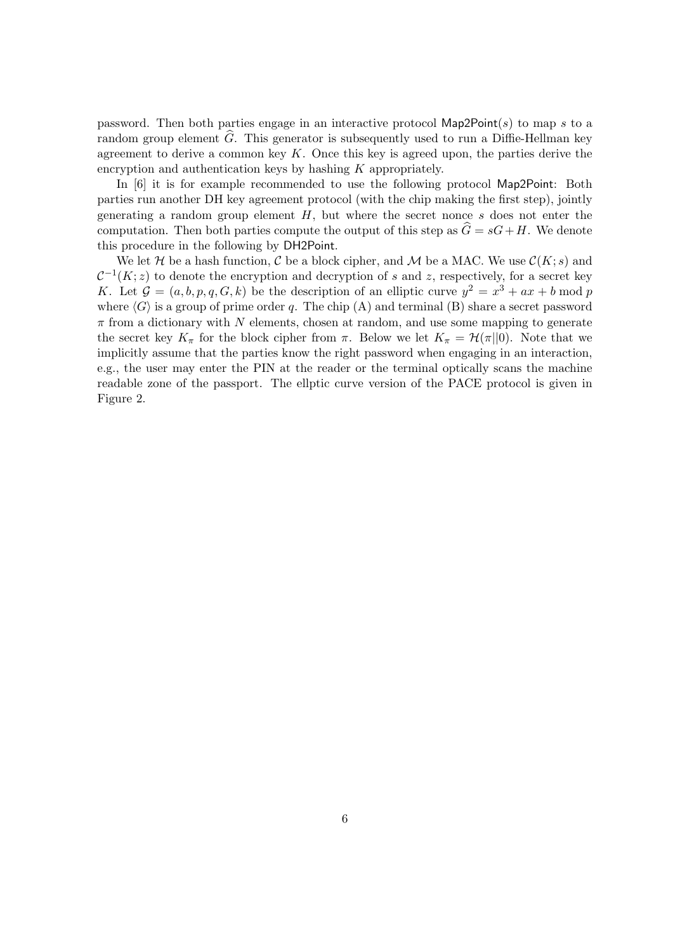password. Then both parties engage in an interactive protocol  $\mathsf{Map2Point}(s)$  to map s to a random group element  $\hat{G}$ . This generator is subsequently used to run a Diffie-Hellman key agreement to derive a common key  $K$ . Once this key is agreed upon, the parties derive the encryption and authentication keys by hashing K appropriately.

In [6] it is for example recommended to use the following protocol Map2Point: Both parties run another DH key agreement protocol (with the chip making the first step), jointly generating a random group element  $H$ , but where the secret nonce  $s$  does not enter the computation. Then both parties compute the output of this step as  $\hat{G} = sG + H$ . We denote this procedure in the following by DH2Point.

We let H be a hash function, C be a block cipher, and M be a MAC. We use  $\mathcal{C}(K; s)$  and  $\mathcal{C}^{-1}(K; z)$  to denote the encryption and decryption of s and z, respectively, for a secret key K. Let  $\mathcal{G} = (a, b, p, q, G, k)$  be the description of an elliptic curve  $y^2 = x^3 + ax + b \mod p$ where  $\langle G \rangle$  is a group of prime order q. The chip (A) and terminal (B) share a secret password  $\pi$  from a dictionary with N elements, chosen at random, and use some mapping to generate the secret key  $K_{\pi}$  for the block cipher from  $\pi$ . Below we let  $K_{\pi} = \mathcal{H}(\pi||0)$ . Note that we implicitly assume that the parties know the right password when engaging in an interaction, e.g., the user may enter the PIN at the reader or the terminal optically scans the machine readable zone of the passport. The ellptic curve version of the PACE protocol is given in Figure 2.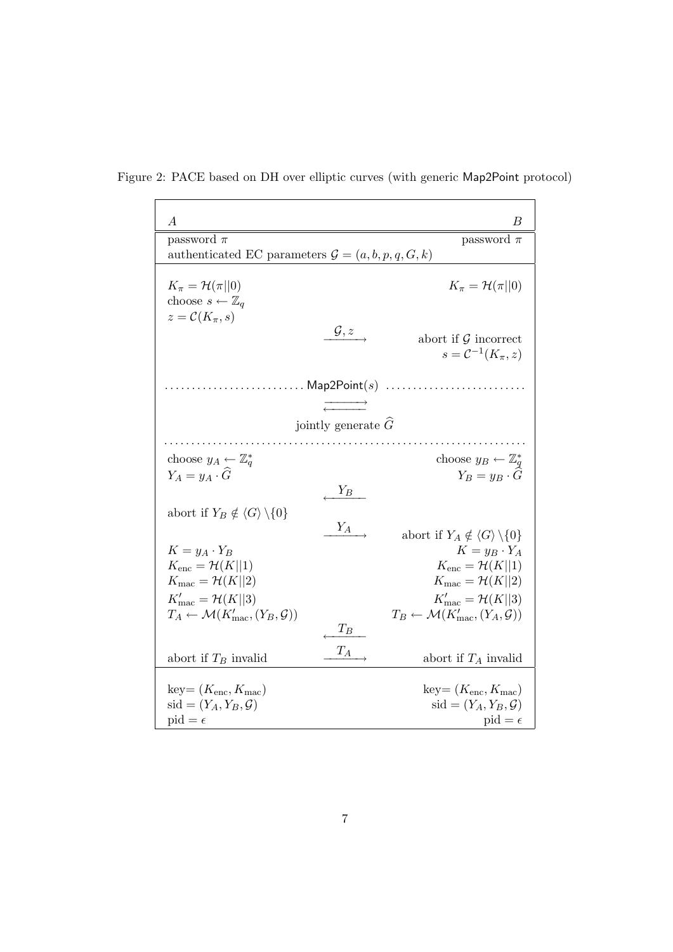Figure 2: PACE based on DH over elliptic curves (with generic Map2Point protocol)

| $\boldsymbol{A}$                                                  |                                               | В                                                                            |  |
|-------------------------------------------------------------------|-----------------------------------------------|------------------------------------------------------------------------------|--|
|                                                                   |                                               |                                                                              |  |
| password $\pi$<br>password $\pi$                                  |                                               |                                                                              |  |
| authenticated EC parameters $\mathcal{G} = (a, b, p, q, G, k)$    |                                               |                                                                              |  |
| $K_{\pi} = \mathcal{H}(\pi  0)$                                   |                                               | $K_{\pi} = \mathcal{H}(\pi  0)$                                              |  |
| choose $s \leftarrow \mathbb{Z}_q$                                |                                               |                                                                              |  |
| $z = \mathcal{C}(K_\pi, s)$                                       |                                               |                                                                              |  |
|                                                                   | $\mathcal{G}, z$                              |                                                                              |  |
|                                                                   |                                               | abort if $\mathcal G$ incorrect                                              |  |
|                                                                   |                                               | $s = C^{-1}(K_{\pi}, z)$                                                     |  |
| $\ldots \ldots \ldots$ Map2Point $(s)$                            |                                               |                                                                              |  |
|                                                                   |                                               |                                                                              |  |
|                                                                   |                                               |                                                                              |  |
| jointly generate $\widehat{G}$                                    |                                               |                                                                              |  |
|                                                                   |                                               |                                                                              |  |
| choose $y_A \leftarrow \mathbb{Z}_q^*$                            |                                               | choose $y_B \leftarrow \mathbb{Z}_q^*$                                       |  |
| $Y_A = y_A \cdot \widehat{G}$                                     |                                               | $Y_B = y_B \cdot \widehat{G}$                                                |  |
|                                                                   | $Y_B$                                         |                                                                              |  |
| abort if $Y_B \notin \langle G \rangle \setminus \{0\}$           |                                               |                                                                              |  |
|                                                                   | $Y_A$ <sub><math>\longrightarrow</math></sub> |                                                                              |  |
|                                                                   |                                               | abort if $Y_A \notin \langle G \rangle \setminus \{0\}$                      |  |
| $K = y_A \cdot Y_B$                                               |                                               | $K = y_B \cdot Y_A$                                                          |  |
| $K_{\text{enc}} = \mathcal{H}(K  1)$                              |                                               | $K_{\text{enc}} = \mathcal{H}(K  1)$<br>$K_{\text{mac}} = \mathcal{H}(K  2)$ |  |
| $K_{\text{mac}} = \mathcal{H}(K  2)$                              |                                               |                                                                              |  |
| $K'_{\text{mac}} = \mathcal{H}(K  3)$                             |                                               | $K'_{\text{mac}} = \mathcal{H}(K  3)$                                        |  |
| $T_A \leftarrow \mathcal{M}(K'_{\text{mac}}, (Y_B, \mathcal{G}))$ |                                               | $T_B \leftarrow \mathcal{M}(K'_{\text{mac}}, (Y_A, \mathcal{G}))$            |  |
|                                                                   | $T_B\_$                                       |                                                                              |  |
| abort if $T_B$ invalid                                            | $T_A$                                         | abort if $T_A$ invalid                                                       |  |
|                                                                   |                                               |                                                                              |  |
| $key=(K_{\rm enc}, K_{\rm mac})$                                  |                                               | $key=(K_{\rm enc}, K_{\rm mac})$                                             |  |
| $sid = (Y_A, Y_B, \mathcal{G})$                                   |                                               | $sid = (Y_A, Y_B, \mathcal{G})$                                              |  |
| $pid = \epsilon$                                                  |                                               | $pid = \epsilon$                                                             |  |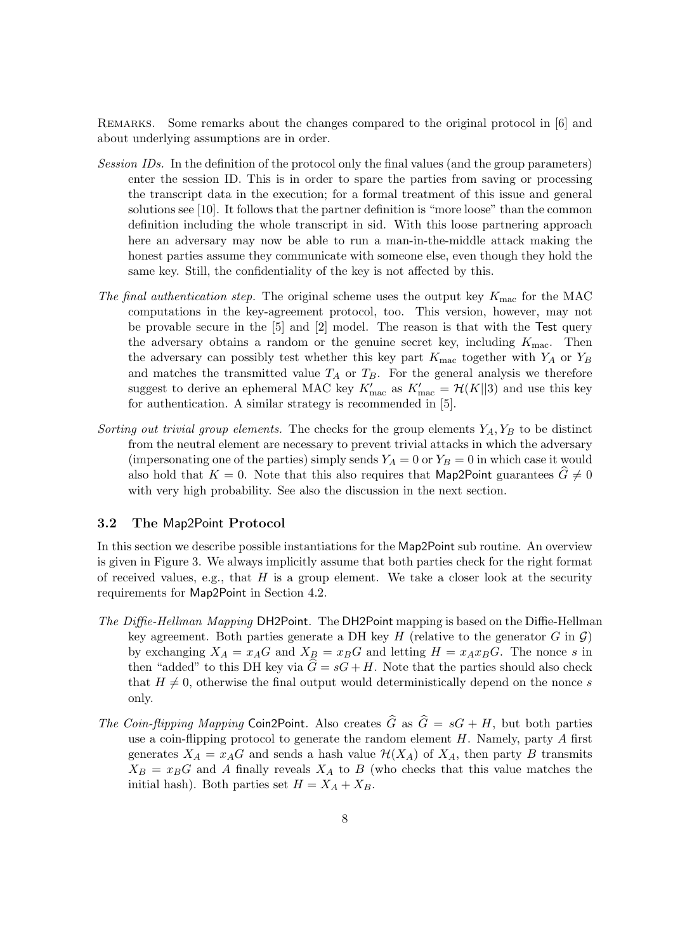Remarks. Some remarks about the changes compared to the original protocol in [6] and about underlying assumptions are in order.

- Session IDs. In the definition of the protocol only the final values (and the group parameters) enter the session ID. This is in order to spare the parties from saving or processing the transcript data in the execution; for a formal treatment of this issue and general solutions see [10]. It follows that the partner definition is "more loose" than the common definition including the whole transcript in sid. With this loose partnering approach here an adversary may now be able to run a man-in-the-middle attack making the honest parties assume they communicate with someone else, even though they hold the same key. Still, the confidentiality of the key is not affected by this.
- The final authentication step. The original scheme uses the output key  $K_{\text{mac}}$  for the MAC computations in the key-agreement protocol, too. This version, however, may not be provable secure in the [5] and [2] model. The reason is that with the Test query the adversary obtains a random or the genuine secret key, including  $K_{\text{mac}}$ . Then the adversary can possibly test whether this key part  $K_{\text{mac}}$  together with  $Y_A$  or  $Y_B$ and matches the transmitted value  $T_A$  or  $T_B$ . For the general analysis we therefore suggest to derive an ephemeral MAC key  $K'_{\text{mac}}$  as  $K'_{\text{mac}} = \mathcal{H}(K||3)$  and use this key for authentication. A similar strategy is recommended in [5].
- Sorting out trivial group elements. The checks for the group elements  $Y_A, Y_B$  to be distinct from the neutral element are necessary to prevent trivial attacks in which the adversary (impersonating one of the parties) simply sends  $Y_A = 0$  or  $Y_B = 0$  in which case it would also hold that  $K = 0$ . Note that this also requires that Map2Point guarantees  $\hat{G} \neq 0$ with very high probability. See also the discussion in the next section.

#### 3.2 The Map2Point Protocol

In this section we describe possible instantiations for the Map2Point sub routine. An overview is given in Figure 3. We always implicitly assume that both parties check for the right format of received values, e.g., that  $H$  is a group element. We take a closer look at the security requirements for Map2Point in Section 4.2.

- The Diffie-Hellman Mapping DH2Point. The DH2Point mapping is based on the Diffie-Hellman key agreement. Both parties generate a DH key  $H$  (relative to the generator  $G$  in  $\mathcal{G}$ ) by exchanging  $X_A = x_A G$  and  $X_B = x_B G$  and letting  $H = x_A x_B G$ . The nonce s in then "added" to this DH key via  $\hat{G} = sG + H$ . Note that the parties should also check that  $H \neq 0$ , otherwise the final output would deterministically depend on the nonce s only.
- The Coin-flipping Mapping Coin2Point. Also creates  $\hat{G}$  as  $\hat{G} = sG + H$ , but both parties use a coin-flipping protocol to generate the random element  $H$ . Namely, party  $A$  first generates  $X_A = x_A G$  and sends a hash value  $\mathcal{H}(X_A)$  of  $X_A$ , then party B transmits  $X_B = x_B G$  and A finally reveals  $X_A$  to B (who checks that this value matches the initial hash). Both parties set  $H = X_A + X_B$ .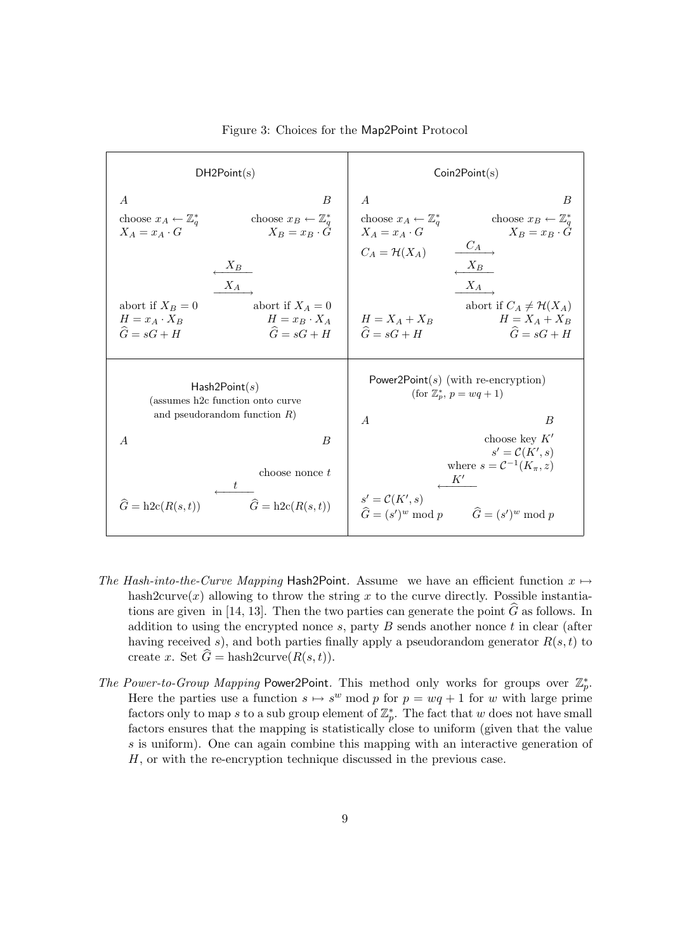| DH2Point(s)                                                                                                                                                                                      | Coin2Point(s)                                                                                                                                                                                                                                                            |
|--------------------------------------------------------------------------------------------------------------------------------------------------------------------------------------------------|--------------------------------------------------------------------------------------------------------------------------------------------------------------------------------------------------------------------------------------------------------------------------|
| B<br>$\boldsymbol{A}$<br>choose $x_A \leftarrow \mathbb{Z}_q^*$<br>choose $x_B \leftarrow \mathbb{Z}_q^*$<br>$X_A = x_A \cdot G$<br>$X_B = x_B \cdot G$<br>$\overline{X_B}$<br>$X_A$             | $\overline{A}$<br>$\boldsymbol{B}$<br>choose $x_A \leftarrow \mathbb{Z}_q^*$<br>choose $x_B \leftarrow \mathbb{Z}_q^*$<br>$X_A = x_A \cdot G$<br>$X_B = x_B \cdot G$<br>$\begin{array}{c}\nC_A \\ \hline\nX_B\n\end{array}$<br>$C_A = \mathcal{H}(X_A)$<br>$X_A$         |
| abort if $X_B = 0$<br>abort if $X_A = 0$<br>$H = x_A \cdot X_B$<br>$H = x_B \cdot X_A$<br>$\widehat{G} = sG + H$<br>$\widehat{G} = sG + H$                                                       | abort if $C_A \neq \mathcal{H}(X_A)$<br>$H = X_A + X_B$<br>$H = X_A + X_B$<br>$\widehat{G} = sG + H$<br>$\widehat{G} = sG + H$                                                                                                                                           |
| Hash2Point $(s)$<br>(assumes h2c function onto curve<br>and pseudorandom function $R$ )<br>B<br>$\overline{A}$<br>choose nonce $t$<br>$\widehat{G} = h2c(R(s,t))$<br>$\widehat{G} = h2c(R(s,t))$ | Power2Point $(s)$ (with re-encryption)<br>(for $\mathbb{Z}_p^*, p = wq + 1$ )<br>B<br>$\overline{A}$<br>choose key $K'$<br>$s' = \mathcal{C}(K', s)$<br>where $s = C^{-1}(K_\pi, z)$<br>$s' = \mathcal{C}(K', s)$<br>$\hat{G} = (s')^w \mod p$ $\hat{G} = (s')^w \mod p$ |

Figure 3: Choices for the Map2Point Protocol

- The Hash-into-the-Curve Mapping Hash2Point. Assume we have an efficient function  $x \mapsto$ hash2curve(x) allowing to throw the string x to the curve directly. Possible instantiations are given in [14, 13]. Then the two parties can generate the point  $\widehat{G}$  as follows. In addition to using the encrypted nonce  $s$ , party  $B$  sends another nonce  $t$  in clear (after having received s), and both parties finally apply a pseudorandom generator  $R(s, t)$  to create x. Set  $\hat{G} =$  hash2curve( $R(s, t)$ ).
- The Power-to-Group Mapping Power2Point. This method only works for groups over  $\mathbb{Z}_p^*$ . Here the parties use a function  $s \mapsto s^w \mod p$  for  $p = wq + 1$  for w with large prime factors only to map s to a sub group element of  $\mathbb{Z}_p^*$ . The fact that w does not have small factors ensures that the mapping is statistically close to uniform (given that the value s is uniform). One can again combine this mapping with an interactive generation of  $H$ , or with the re-encryption technique discussed in the previous case.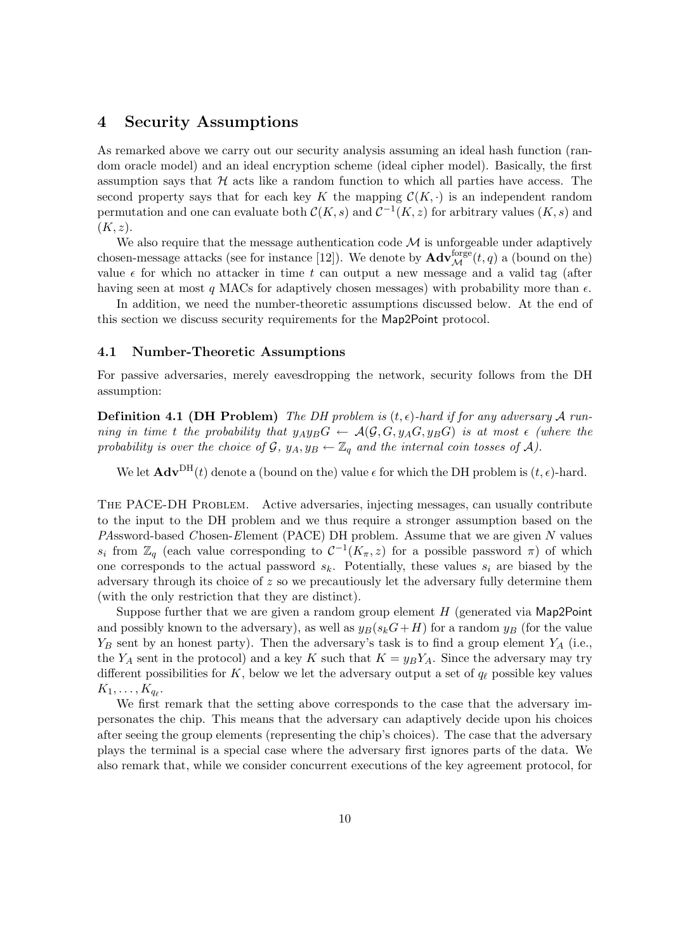# 4 Security Assumptions

As remarked above we carry out our security analysis assuming an ideal hash function (random oracle model) and an ideal encryption scheme (ideal cipher model). Basically, the first assumption says that  $H$  acts like a random function to which all parties have access. The second property says that for each key K the mapping  $\mathcal{C}(K, \cdot)$  is an independent random permutation and one can evaluate both  $\mathcal{C}(K, s)$  and  $\mathcal{C}^{-1}(K, z)$  for arbitrary values  $(K, s)$  and  $(K, z).$ 

We also require that the message authentication code  $\mathcal M$  is unforgeable under adaptively chosen-message attacks (see for instance [12]). We denote by  $\mathbf{Adv}_{\mathcal{M}}^{\text{forget}}(t, q)$  a (bound on the) value  $\epsilon$  for which no attacker in time t can output a new message and a valid tag (after having seen at most q MACs for adaptively chosen messages) with probability more than  $\epsilon$ .

In addition, we need the number-theoretic assumptions discussed below. At the end of this section we discuss security requirements for the Map2Point protocol.

#### 4.1 Number-Theoretic Assumptions

For passive adversaries, merely eavesdropping the network, security follows from the DH assumption:

**Definition 4.1 (DH Problem)** The DH problem is  $(t, \epsilon)$ -hard if for any adversary A running in time t the probability that  $y_A y_B G \leftarrow \mathcal{A}(\mathcal{G}, G, y_A G, y_B G)$  is at most  $\epsilon$  (where the probability is over the choice of  $\mathcal{G}$ ,  $y_A, y_B \leftarrow \mathbb{Z}_q$  and the internal coin tosses of  $\mathcal{A}$ ).

We let  $\mathbf{Adv}^{\mathrm{DH}}(t)$  denote a (bound on the) value  $\epsilon$  for which the DH problem is  $(t, \epsilon)$ -hard.

The PACE-DH Problem. Active adversaries, injecting messages, can usually contribute to the input to the DH problem and we thus require a stronger assumption based on the PAssword-based Chosen-Element (PACE) DH problem. Assume that we are given  $N$  values s<sub>i</sub> from  $\mathbb{Z}_q$  (each value corresponding to  $C^{-1}(K_\pi, z)$  for a possible password  $\pi$ ) of which one corresponds to the actual password  $s_k$ . Potentially, these values  $s_i$  are biased by the adversary through its choice of z so we precautiously let the adversary fully determine them (with the only restriction that they are distinct).

Suppose further that we are given a random group element  $H$  (generated via Map2Point and possibly known to the adversary), as well as  $y_B(s_kG+H)$  for a random  $y_B$  (for the value  $Y_B$  sent by an honest party). Then the adversary's task is to find a group element  $Y_A$  (i.e., the  $Y_A$  sent in the protocol) and a key K such that  $K = y_B Y_A$ . Since the adversary may try different possibilities for K, below we let the adversary output a set of  $q_\ell$  possible key values  $K_1, \ldots, K_{q_\ell}.$ 

We first remark that the setting above corresponds to the case that the adversary impersonates the chip. This means that the adversary can adaptively decide upon his choices after seeing the group elements (representing the chip's choices). The case that the adversary plays the terminal is a special case where the adversary first ignores parts of the data. We also remark that, while we consider concurrent executions of the key agreement protocol, for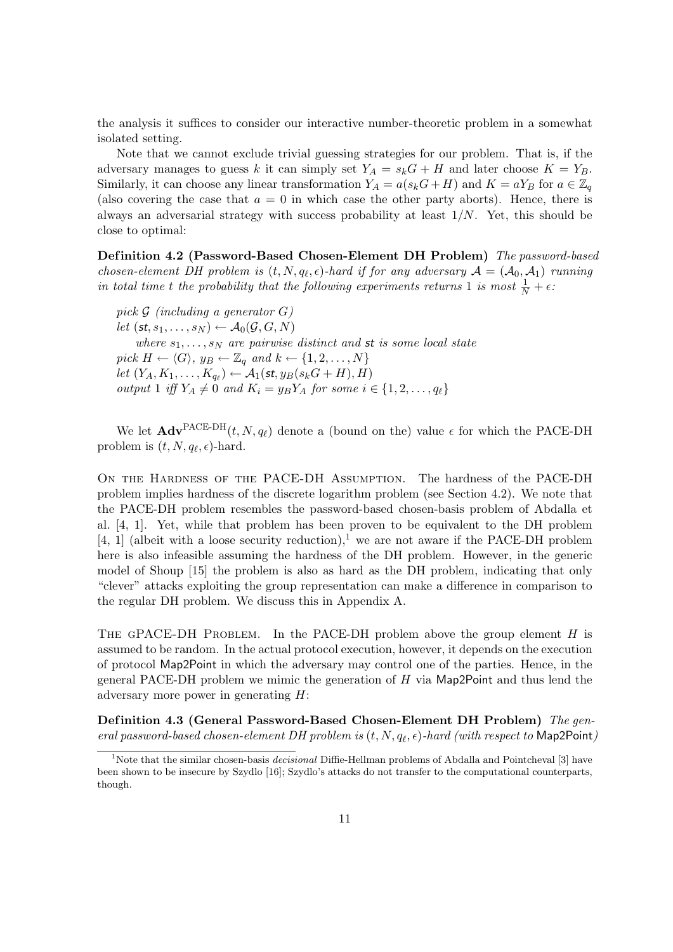the analysis it suffices to consider our interactive number-theoretic problem in a somewhat isolated setting.

Note that we cannot exclude trivial guessing strategies for our problem. That is, if the adversary manages to guess k it can simply set  $Y_A = s_k G + H$  and later choose  $K = Y_B$ . Similarly, it can choose any linear transformation  $Y_A = a(s_k G + H)$  and  $K = aY_B$  for  $a \in \mathbb{Z}_q$ (also covering the case that  $a = 0$  in which case the other party aborts). Hence, there is always an adversarial strategy with success probability at least  $1/N$ . Yet, this should be close to optimal:

Definition 4.2 (Password-Based Chosen-Element DH Problem) The password-based chosen-element DH problem is  $(t, N, q_\ell, \epsilon)$ -hard if for any adversary  $\mathcal{A} = (\mathcal{A}_0, \mathcal{A}_1)$  running in total time t the probability that the following experiments returns 1 is most  $\frac{1}{N} + \epsilon$ .

pick  $\mathcal G$  (including a generator  $G$ ) let  $(st, s_1, \ldots, s_N) \leftarrow \mathcal{A}_0(\mathcal{G}, G, N)$ where  $s_1, \ldots, s_N$  are pairwise distinct and st is some local state pick  $H \leftarrow \langle G \rangle$ ,  $y_B \leftarrow \mathbb{Z}_q$  and  $k \leftarrow \{1, 2, \ldots, N\}$ let  $(Y_A, K_1, \ldots, K_{q_\ell}) \leftarrow \mathcal{A}_1(\mathsf{st}, y_B(s_kG + H), H)$ output 1 iff  $Y_A \neq 0$  and  $K_i = y_B Y_A$  for some  $i \in \{1, 2, \ldots, q_\ell\}$ 

We let  $\mathbf{Adv}^{\mathbf{PACE-DH}}(t, N, q_\ell)$  denote a (bound on the) value  $\epsilon$  for which the PACE-DH problem is  $(t, N, q_\ell, \epsilon)$ -hard.

On the Hardness of the PACE-DH Assumption. The hardness of the PACE-DH problem implies hardness of the discrete logarithm problem (see Section 4.2). We note that the PACE-DH problem resembles the password-based chosen-basis problem of Abdalla et al. [4, 1]. Yet, while that problem has been proven to be equivalent to the DH problem [4, 1] (albeit with a loose security reduction),<sup>1</sup> we are not aware if the PACE-DH problem here is also infeasible assuming the hardness of the DH problem. However, in the generic model of Shoup [15] the problem is also as hard as the DH problem, indicating that only "clever" attacks exploiting the group representation can make a difference in comparison to the regular DH problem. We discuss this in Appendix A.

THE GPACE-DH PROBLEM. In the PACE-DH problem above the group element  $H$  is assumed to be random. In the actual protocol execution, however, it depends on the execution of protocol Map2Point in which the adversary may control one of the parties. Hence, in the general PACE-DH problem we mimic the generation of  $H$  via Map2Point and thus lend the adversary more power in generating H:

Definition 4.3 (General Password-Based Chosen-Element DH Problem) The general password-based chosen-element DH problem is  $(t, N, q_\ell, \epsilon)$ -hard (with respect to Map2Point)

<sup>&</sup>lt;sup>1</sup>Note that the similar chosen-basis *decisional* Diffie-Hellman problems of Abdalla and Pointcheval [3] have been shown to be insecure by Szydlo [16]; Szydlo's attacks do not transfer to the computational counterparts, though.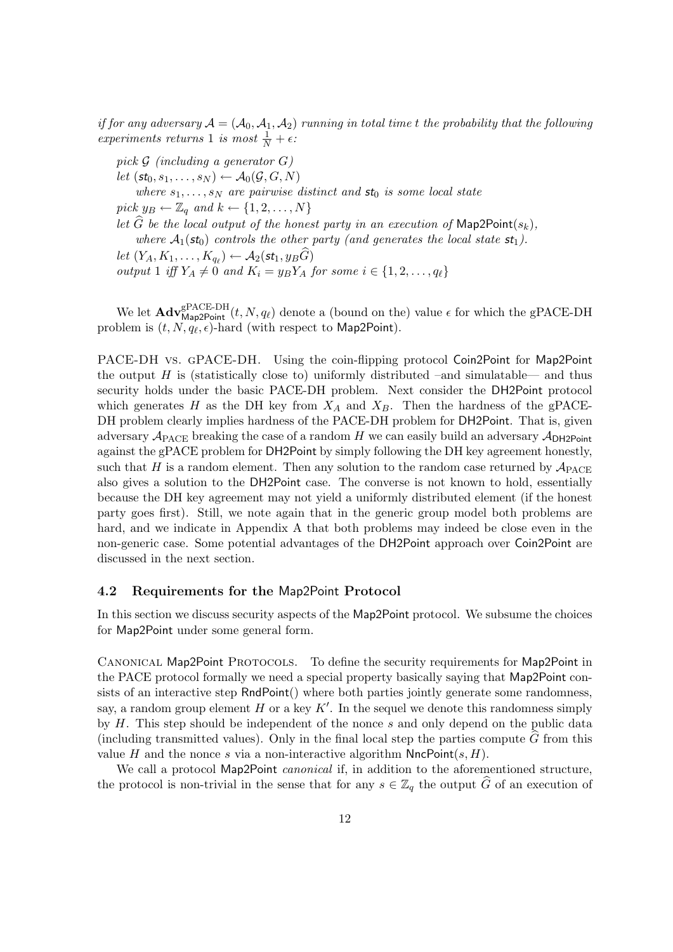if for any adversary  $A = (A_0, A_1, A_2)$  running in total time t the probability that the following experiments returns 1 is most  $\frac{1}{N} + \epsilon$ :

pick  $\mathcal G$  (including a generator  $G$ ) let  $(st_0, s_1, \ldots, s_N) \leftarrow \mathcal{A}_0(\mathcal{G}, G, N)$ where  $s_1, \ldots, s_N$  are pairwise distinct and  $st_0$  is some local state pick  $y_B \leftarrow \mathbb{Z}_q$  and  $k \leftarrow \{1, 2, \dots, N\}$ let  $\hat{G}$  be the local output of the honest party in an execution of Map2Point( $s_k$ ), where  $A_1(st_0)$  controls the other party (and generates the local state  $st_1$ ). let  $(Y_A, K_1, \ldots, K_{q_\ell}) \leftarrow \mathcal{A}_2(\mathsf{st}_1, y_BG)$ 

output 1 iff  $Y_A \neq 0$  and  $K_i = y_B Y_A$  for some  $i \in \{1, 2, \ldots, q_\ell\}$ 

We let  $\mathbf{Adv}_{\mathsf{Map2Point}}^{\text{gPACE-DH}}(t, N, q_\ell)$  denote a (bound on the) value  $\epsilon$  for which the gPACE-DH problem is  $(t, N, q_\ell, \epsilon)$ -hard (with respect to Map2Point).

PACE-DH vs. gPACE-DH. Using the coin-flipping protocol Coin2Point for Map2Point the output  $H$  is (statistically close to) uniformly distributed –and simulatable— and thus security holds under the basic PACE-DH problem. Next consider the DH2Point protocol which generates H as the DH key from  $X_A$  and  $X_B$ . Then the hardness of the gPACE-DH problem clearly implies hardness of the PACE-DH problem for DH2Point. That is, given adversary  $A_{\text{PACE}}$  breaking the case of a random H we can easily build an adversary  $A_{\text{DHP2Point}}$ against the gPACE problem for DH2Point by simply following the DH key agreement honestly, such that H is a random element. Then any solution to the random case returned by  $\mathcal{A}_{PACE}$ also gives a solution to the DH2Point case. The converse is not known to hold, essentially because the DH key agreement may not yield a uniformly distributed element (if the honest party goes first). Still, we note again that in the generic group model both problems are hard, and we indicate in Appendix A that both problems may indeed be close even in the non-generic case. Some potential advantages of the DH2Point approach over Coin2Point are discussed in the next section.

#### 4.2 Requirements for the Map2Point Protocol

In this section we discuss security aspects of the Map2Point protocol. We subsume the choices for Map2Point under some general form.

CANONICAL Map2Point PROTOCOLS. To define the security requirements for Map2Point in the PACE protocol formally we need a special property basically saying that Map2Point consists of an interactive step RndPoint() where both parties jointly generate some randomness, say, a random group element  $H$  or a key  $K'$ . In the sequel we denote this randomness simply by  $H$ . This step should be independent of the nonce  $s$  and only depend on the public data (including transmitted values). Only in the final local step the parties compute  $\tilde{G}$  from this value H and the nonce s via a non-interactive algorithm  $\mathsf{NncPoint}(s, H)$ .

We call a protocol Map2Point *canonical* if, in addition to the aforementioned structure, the protocol is non-trivial in the sense that for any  $s \in \mathbb{Z}_q$  the output  $\widehat{G}$  of an execution of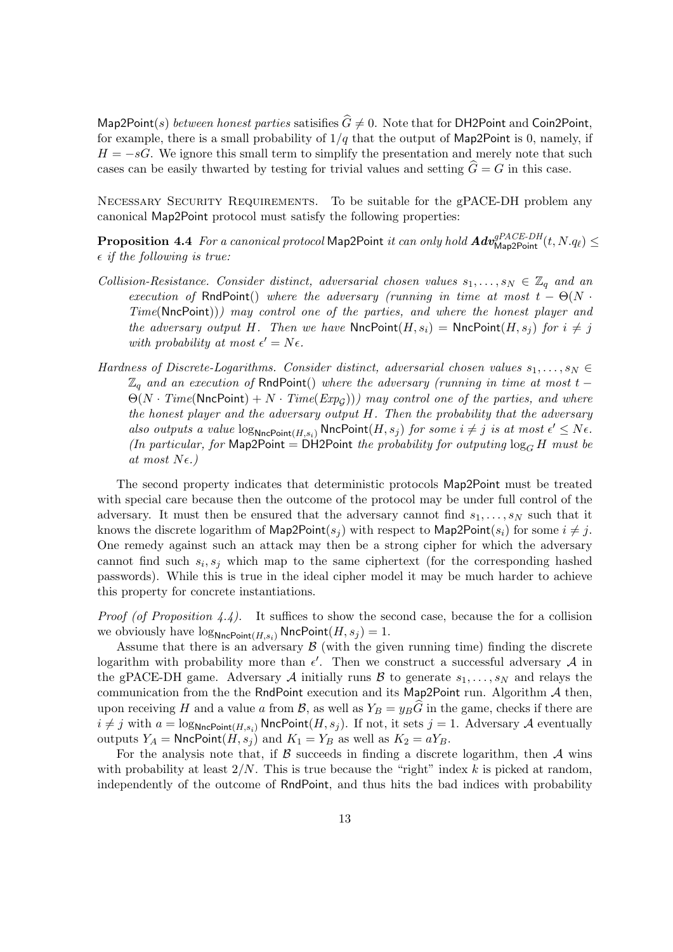Map2Point(s) between honest parties satisifies  $\hat{G} \neq 0$ . Note that for DH2Point and Coin2Point, for example, there is a small probability of  $1/q$  that the output of Map2Point is 0, namely, if  $H = -sG$ . We ignore this small term to simplify the presentation and merely note that such cases can be easily thwarted by testing for trivial values and setting  $\hat{G} = G$  in this case.

NECESSARY SECURITY REQUIREMENTS. To be suitable for the gPACE-DH problem any canonical Map2Point protocol must satisfy the following properties:

 $\bf{Proposition~4.4}$  For a canonical protocol Map2Point it can only hold  $\bm{Adv}^{gPACE-DH}_{\mathsf{Map2Point}}(t,N.q_{\ell})\leq$  $\epsilon$  if the following is true:

- Collision-Resistance. Consider distinct, adversarial chosen values  $s_1, \ldots, s_N \in \mathbb{Z}_q$  and an execution of RndPoint() where the adversary (running in time at most  $t - \Theta(N + \epsilon)$ Time(NncPoint))) may control one of the parties, and where the honest player and the adversary output H. Then we have  $\textsf{NncPoint}(H, s_i) = \textsf{NncPoint}(H, s_i)$  for  $i \neq j$ with probability at most  $\epsilon' = N\epsilon$ .
- Hardness of Discrete-Logarithms. Consider distinct, adversarial chosen values  $s_1, \ldots, s_N \in$  $\mathbb{Z}_q$  and an execution of RndPoint() where the adversary (running in time at most t –  $\Theta(N\cdot \mathit{Time}(\mathsf{NncPoint}) + N\cdot \mathit{Time}(\mathit{Exp}_\mathcal{G})))$  may control one of the parties, and where the honest player and the adversary output H. Then the probability that the adversary also outputs a value  $log_{\text{NncPoint}(H, s_i)}$  NncPoint $(H, s_j)$  for some  $i \neq j$  is at most  $\epsilon' \leq N\epsilon$ . (In particular, for Map2Point = DH2Point the probability for outputing  $log_{C} H$  must be at most  $N_{\epsilon}$ .)

The second property indicates that deterministic protocols Map2Point must be treated with special care because then the outcome of the protocol may be under full control of the adversary. It must then be ensured that the adversary cannot find  $s_1, \ldots, s_N$  such that it knows the discrete logarithm of  $\mathsf{Map2Point}(s_i)$  with respect to  $\mathsf{Map2Point}(s_i)$  for some  $i \neq j$ . One remedy against such an attack may then be a strong cipher for which the adversary cannot find such  $s_i, s_j$  which map to the same ciphertext (for the corresponding hashed passwords). While this is true in the ideal cipher model it may be much harder to achieve this property for concrete instantiations.

*Proof (of Proposition 4.4).* It suffices to show the second case, because the for a collision we obviously have  $log_{\text{NncPoint}(H, s_i)}$  NncPoint $(H, s_j) = 1$ .

Assume that there is an adversary  $\beta$  (with the given running time) finding the discrete logarithm with probability more than  $\epsilon'$ . Then we construct a successful adversary A in the gPACE-DH game. Adversary A initially runs B to generate  $s_1, \ldots, s_N$  and relays the communication from the the RndPoint execution and its Map2Point run. Algorithm  $A$  then, upon receiving H and a value a from B, as well as  $Y_B = y_B \hat{G}$  in the game, checks if there are  $i \neq j$  with  $a = \log_{\text{NncPoint}(H, s_i)} \text{NncPoint}(H, s_j)$ . If not, it sets  $j = 1$ . Adversary A eventually outputs  $Y_A = \textsf{NncPoint}(H, s_j)$  and  $K_1 = Y_B$  as well as  $K_2 = aY_B$ .

For the analysis note that, if  $\beta$  succeeds in finding a discrete logarithm, then  $\mathcal A$  wins with probability at least  $2/N$ . This is true because the "right" index k is picked at random, independently of the outcome of RndPoint, and thus hits the bad indices with probability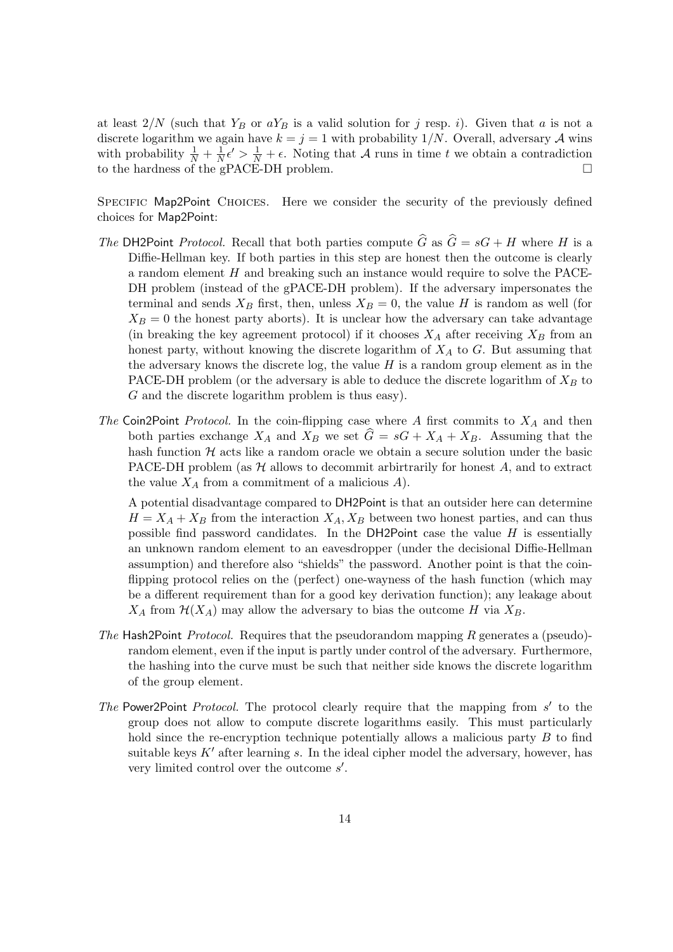at least  $2/N$  (such that  $Y_B$  or  $aY_B$  is a valid solution for j resp. i). Given that a is not a discrete logarithm we again have  $k = j = 1$  with probability 1/N. Overall, adversary A wins with probability  $\frac{1}{N} + \frac{1}{N}$  $\frac{1}{N} \epsilon' > \frac{1}{N} + \epsilon$ . Noting that A runs in time t we obtain a contradiction to the hardness of the gPACE-DH problem.  $\hfill \square$ 

SPECIFIC Map2Point CHOICES. Here we consider the security of the previously defined choices for Map2Point:

- The DH2Point Protocol. Recall that both parties compute  $\hat{G}$  as  $\hat{G} = sG + H$  where H is a Diffie-Hellman key. If both parties in this step are honest then the outcome is clearly a random element  $H$  and breaking such an instance would require to solve the PACE-DH problem (instead of the gPACE-DH problem). If the adversary impersonates the terminal and sends  $X_B$  first, then, unless  $X_B = 0$ , the value H is random as well (for  $X_B = 0$  the honest party aborts). It is unclear how the adversary can take advantage (in breaking the key agreement protocol) if it chooses  $X_A$  after receiving  $X_B$  from an honest party, without knowing the discrete logarithm of  $X_A$  to  $G$ . But assuming that the adversary knows the discrete log, the value  $H$  is a random group element as in the PACE-DH problem (or the adversary is able to deduce the discrete logarithm of  $X_B$  to G and the discrete logarithm problem is thus easy).
- The Coin2Point Protocol. In the coin-flipping case where A first commits to  $X_A$  and then both parties exchange  $X_A$  and  $X_B$  we set  $\hat{G} = sG + X_A + X_B$ . Assuming that the hash function  $H$  acts like a random oracle we obtain a secure solution under the basic PACE-DH problem (as  $H$  allows to decommit arbirtrarily for honest  $A$ , and to extract the value  $X_A$  from a commitment of a malicious  $A$ ).

A potential disadvantage compared to DH2Point is that an outsider here can determine  $H = X_A + X_B$  from the interaction  $X_A, X_B$  between two honest parties, and can thus possible find password candidates. In the DH2Point case the value  $H$  is essentially an unknown random element to an eavesdropper (under the decisional Diffie-Hellman assumption) and therefore also "shields" the password. Another point is that the coinflipping protocol relies on the (perfect) one-wayness of the hash function (which may be a different requirement than for a good key derivation function); any leakage about  $X_A$  from  $\mathcal{H}(X_A)$  may allow the adversary to bias the outcome H via  $X_B$ .

- The Hash2Point *Protocol.* Requires that the pseudorandom mapping R generates a (pseudo)random element, even if the input is partly under control of the adversary. Furthermore, the hashing into the curve must be such that neither side knows the discrete logarithm of the group element.
- The Power2Point Protocol. The protocol clearly require that the mapping from  $s'$  to the group does not allow to compute discrete logarithms easily. This must particularly hold since the re-encryption technique potentially allows a malicious party B to find suitable keys  $K'$  after learning s. In the ideal cipher model the adversary, however, has very limited control over the outcome  $s'$ .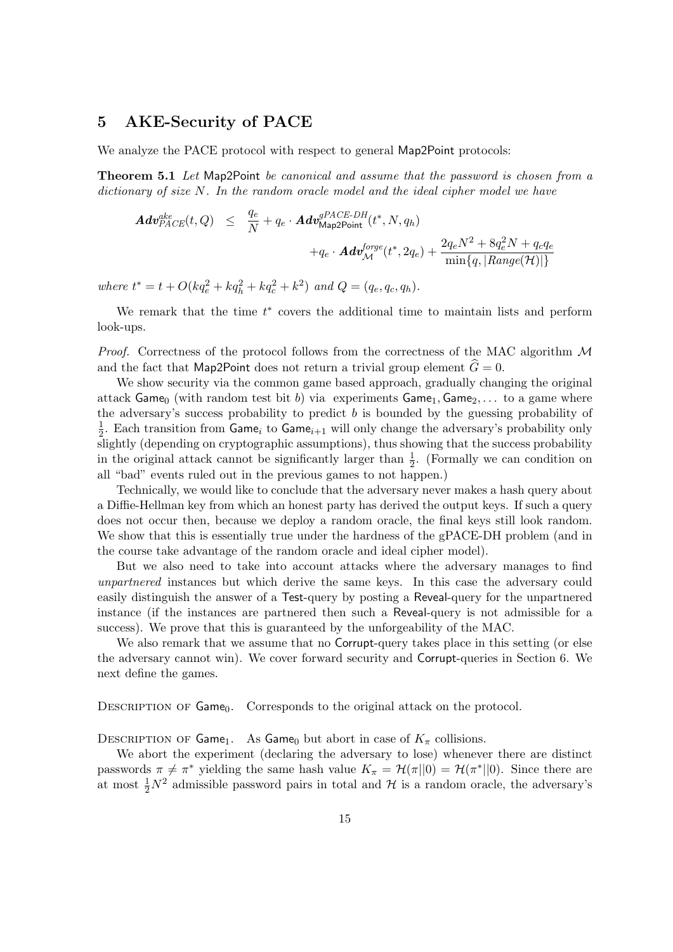## 5 AKE-Security of PACE

We analyze the PACE protocol with respect to general Map2Point protocols:

Theorem 5.1 Let Map2Point be canonical and assume that the password is chosen from a  $dictionary of size N$ . In the random oracle model and the ideal cipher model we have

$$
\begin{array}{lcl} \boldsymbol{Adv}^{ake}_{PACE}(t,Q) & \leq & \displaystyle \frac{q_e}{N} + q_e \cdot \boldsymbol{Adv}^{gPACE-DH}_{\text{Map2Point}}(t^*,N,q_h) \\ & & \displaystyle + q_e \cdot \boldsymbol{Adv}^{torge}_{\mathcal{M}}(t^*,2q_e) + \frac{2q_e N^2 + 8q_e^2 N + q_c q_e}{\min\{q,|Range(\mathcal{H})|\}} \end{array}
$$

where  $t^* = t + O(kq_e^2 + kq_h^2 + kq_c^2 + k^2)$  and  $Q = (q_e, q_c, q_h)$ .

We remark that the time  $t^*$  covers the additional time to maintain lists and perform look-ups.

*Proof.* Correctness of the protocol follows from the correctness of the MAC algorithm  $\mathcal M$ and the fact that Map2Point does not return a trivial group element  $\hat{G} = 0$ .

We show security via the common game based approach, gradually changing the original attack Game<sub>0</sub> (with random test bit b) via experiments Game<sub>1</sub>, Game<sub>2</sub>, ... to a game where the adversary's success probability to predict  $b$  is bounded by the guessing probability of 1  $\frac{1}{2}$ . Each transition from Game<sub>i</sub> to Game<sub>i+1</sub> will only change the adversary's probability only slightly (depending on cryptographic assumptions), thus showing that the success probability in the original attack cannot be significantly larger than  $\frac{1}{2}$ . (Formally we can condition on all "bad" events ruled out in the previous games to not happen.)

Technically, we would like to conclude that the adversary never makes a hash query about a Diffie-Hellman key from which an honest party has derived the output keys. If such a query does not occur then, because we deploy a random oracle, the final keys still look random. We show that this is essentially true under the hardness of the gPACE-DH problem (and in the course take advantage of the random oracle and ideal cipher model).

But we also need to take into account attacks where the adversary manages to find unpartnered instances but which derive the same keys. In this case the adversary could easily distinguish the answer of a Test-query by posting a Reveal-query for the unpartnered instance (if the instances are partnered then such a Reveal-query is not admissible for a success). We prove that this is guaranteed by the unforgeability of the MAC.

We also remark that we assume that no Corrupt-query takes place in this setting (or else the adversary cannot win). We cover forward security and Corrupt-queries in Section 6. We next define the games.

DESCRIPTION OF Game<sub>0</sub>. Corresponds to the original attack on the protocol.

DESCRIPTION OF Game<sub>1</sub>. As Game<sub>0</sub> but abort in case of  $K_\pi$  collisions.

We abort the experiment (declaring the adversary to lose) whenever there are distinct passwords  $\pi \neq \pi^*$  yielding the same hash value  $K_{\pi} = \mathcal{H}(\pi||0) = \mathcal{H}(\pi^*||0)$ . Since there are at most  $\frac{1}{2}N^2$  admissible password pairs in total and H is a random oracle, the adversary's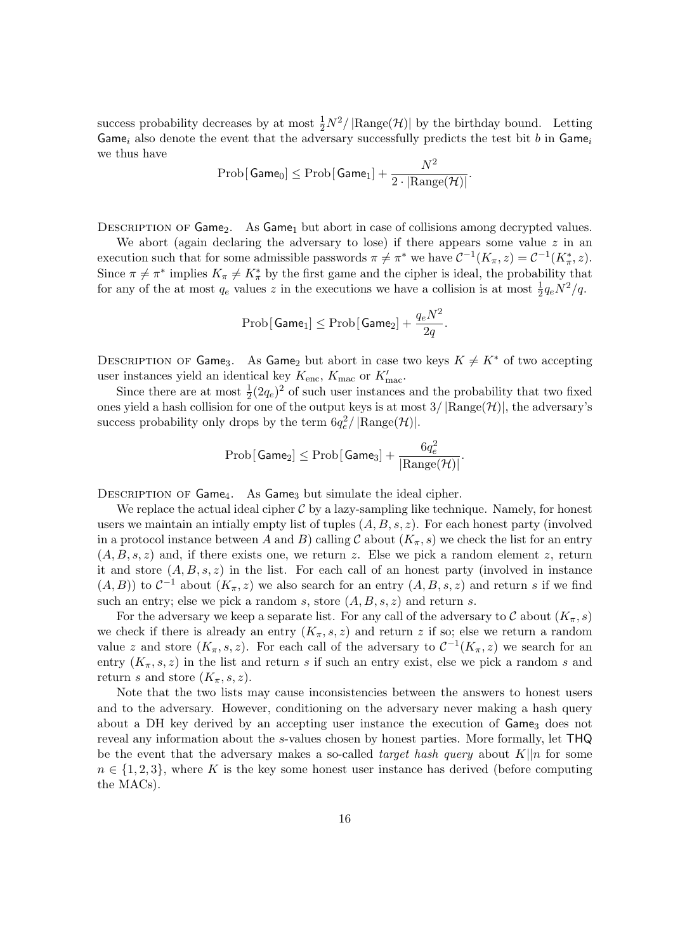success probability decreases by at most  $\frac{1}{2}N^2/|\text{Range}(\mathcal{H})|$  by the birthday bound. Letting Game<sub>i</sub> also denote the event that the adversary successfully predicts the test bit b in Game<sub>i</sub> we thus have

$$
\mathrm{Prob}\!\left[\mathsf{Game}_0\right] \leq \mathrm{Prob}\!\left[\mathsf{Game}_1\right] + \frac{N^2}{2\cdot |\mathrm{Range}(\mathcal{H})|}.
$$

DESCRIPTION OF Game<sub>2</sub>. As Game<sub>1</sub> but abort in case of collisions among decrypted values.

We abort (again declaring the adversary to lose) if there appears some value  $z$  in an execution such that for some admissible passwords  $\pi \neq \pi^*$  we have  $C^{-1}(K_{\pi}, z) = C^{-1}(K_{\pi}^*, z)$ . Since  $\pi \neq \pi^*$  implies  $K_{\pi} \neq K_{\pi}^*$  by the first game and the cipher is ideal, the probability that for any of the at most  $q_e$  values z in the executions we have a collision is at most  $\frac{1}{2}q_eN^2/q$ .

$$
\text{Prob}\!\left[\textsf{Game}_1\right]\leq\text{Prob}\!\left[\textsf{Game}_2\right]+\frac{q_eN^2}{2q}.
$$

DESCRIPTION OF Game<sub>3</sub>. As Game<sub>2</sub> but abort in case two keys  $K \neq K^*$  of two accepting user instances yield an identical key  $K_{\text{enc}}$ ,  $K_{\text{mac}}$  or  $K'_{\text{mac}}$ .

Since there are at most  $\frac{1}{2}(2q_e)^2$  of such user instances and the probability that two fixed ones yield a hash collision for one of the output keys is at most  $3/|\text{Range}(\mathcal{H})|$ , the adversary's success probability only drops by the term  $6q_e^2/|\text{Range}(\mathcal{H})|$ .

$$
\mathrm{Prob}\!\left[\,\mathsf{Game}_2\right] \leq \mathrm{Prob}\!\left[\,\mathsf{Game}_3\right] + \frac{6q_e^2}{|\mathrm{Range}(\mathcal{H})|}.
$$

DESCRIPTION OF Game<sub>4</sub>. As Game<sub>3</sub> but simulate the ideal cipher.

We replace the actual ideal cipher  $\mathcal C$  by a lazy-sampling like technique. Namely, for honest users we maintain an intially empty list of tuples  $(A, B, s, z)$ . For each honest party (involved in a protocol instance between A and B) calling C about  $(K_{\pi}, s)$  we check the list for an entry  $(A, B, s, z)$  and, if there exists one, we return z. Else we pick a random element z, return it and store  $(A, B, s, z)$  in the list. For each call of an honest party (involved in instance  $(A, B)$ ) to  $C^{-1}$  about  $(K_{\pi}, z)$  we also search for an entry  $(A, B, s, z)$  and return s if we find such an entry; else we pick a random s, store  $(A, B, s, z)$  and return s.

For the adversary we keep a separate list. For any call of the adversary to C about  $(K_\pi, s)$ we check if there is already an entry  $(K_\pi, s, z)$  and return z if so; else we return a random value z and store  $(K_{\pi}, s, z)$ . For each call of the adversary to  $C^{-1}(K_{\pi}, z)$  we search for an entry  $(K_{\pi}, s, z)$  in the list and return s if such an entry exist, else we pick a random s and return s and store  $(K_{\pi}, s, z)$ .

Note that the two lists may cause inconsistencies between the answers to honest users and to the adversary. However, conditioning on the adversary never making a hash query about a DH key derived by an accepting user instance the execution of Game<sub>3</sub> does not reveal any information about the s-values chosen by honest parties. More formally, let THQ be the event that the adversary makes a so-called *target hash query* about  $K||n$  for some  $n \in \{1,2,3\}$ , where K is the key some honest user instance has derived (before computing the MACs).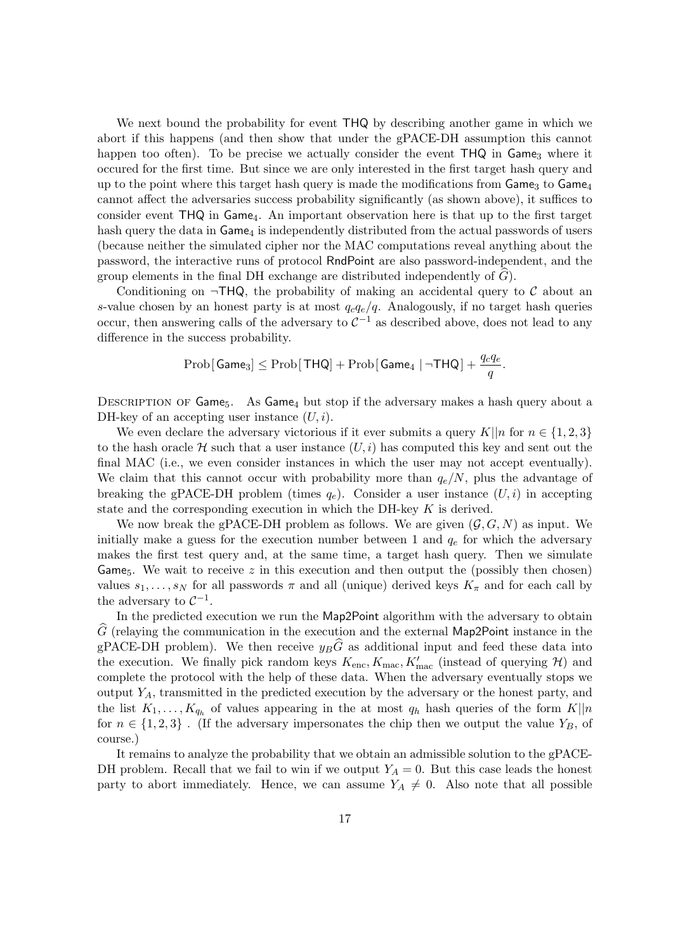We next bound the probability for event **THQ** by describing another game in which we abort if this happens (and then show that under the gPACE-DH assumption this cannot happen too often). To be precise we actually consider the event  $THQ$  in  $Game_3$  where it occured for the first time. But since we are only interested in the first target hash query and up to the point where this target hash query is made the modifications from  $\mathsf{Game}_3$  to  $\mathsf{Game}_4$ cannot affect the adversaries success probability significantly (as shown above), it suffices to consider event THQ in Game4. An important observation here is that up to the first target hash query the data in  $Game_4$  is independently distributed from the actual passwords of users (because neither the simulated cipher nor the MAC computations reveal anything about the password, the interactive runs of protocol RndPoint are also password-independent, and the group elements in the final DH exchange are distributed independently of  $\tilde{G}$ ).

Conditioning on  $\neg THQ$ , the probability of making an accidental query to C about an s-value chosen by an honest party is at most  $q_cq_e/q$ . Analogously, if no target hash queries occur, then answering calls of the adversary to  $\mathcal{C}^{-1}$  as described above, does not lead to any difference in the success probability.

$$
\textrm{Prob}\!\left[\, \mathsf{Game}_3 \right] \leq \textrm{Prob}\!\left[\, \mathsf{THQ} \right] + \textrm{Prob}\!\left[\, \mathsf{Game}_4 \,\, | \, \neg \mathsf{THQ} \right] + \frac{q_c q_e}{q}.
$$

DESCRIPTION OF Game<sub>5</sub>. As Game<sub>4</sub> but stop if the adversary makes a hash query about a DH-key of an accepting user instance  $(U, i)$ .

We even declare the adversary victorious if it ever submits a query  $K||n$  for  $n \in \{1,2,3\}$ to the hash oracle  $\mathcal H$  such that a user instance  $(U, i)$  has computed this key and sent out the final MAC (i.e., we even consider instances in which the user may not accept eventually). We claim that this cannot occur with probability more than  $q_e/N$ , plus the advantage of breaking the gPACE-DH problem (times  $q_e$ ). Consider a user instance  $(U, i)$  in accepting state and the corresponding execution in which the DH-key  $K$  is derived.

We now break the gPACE-DH problem as follows. We are given  $(G, G, N)$  as input. We initially make a guess for the execution number between 1 and  $q_e$  for which the adversary makes the first test query and, at the same time, a target hash query. Then we simulate Game<sub>5</sub>. We wait to receive z in this execution and then output the (possibly then chosen) values  $s_1, \ldots, s_N$  for all passwords  $\pi$  and all (unique) derived keys  $K_{\pi}$  and for each call by the adversary to  $C^{-1}$ .

In the predicted execution we run the Map2Point algorithm with the adversary to obtain  $G$  (relaying the communication in the execution and the external Map2Point instance in the gPACE-DH problem). We then receive  $y_B\tilde{G}$  as additional input and feed these data into the execution. We finally pick random keys  $K_{\text{enc}}$ ,  $K_{\text{mac}}$ ,  $K'_{\text{mac}}$  (instead of querying  $H$ ) and complete the protocol with the help of these data. When the adversary eventually stops we output  $Y_A$ , transmitted in the predicted execution by the adversary or the honest party, and the list  $K_1, \ldots, K_{q_h}$  of values appearing in the at most  $q_h$  hash queries of the form  $K||n$ for  $n \in \{1,2,3\}$ . (If the adversary impersonates the chip then we output the value  $Y_B$ , of course.)

It remains to analyze the probability that we obtain an admissible solution to the gPACE-DH problem. Recall that we fail to win if we output  $Y_A = 0$ . But this case leads the honest party to abort immediately. Hence, we can assume  $Y_A \neq 0$ . Also note that all possible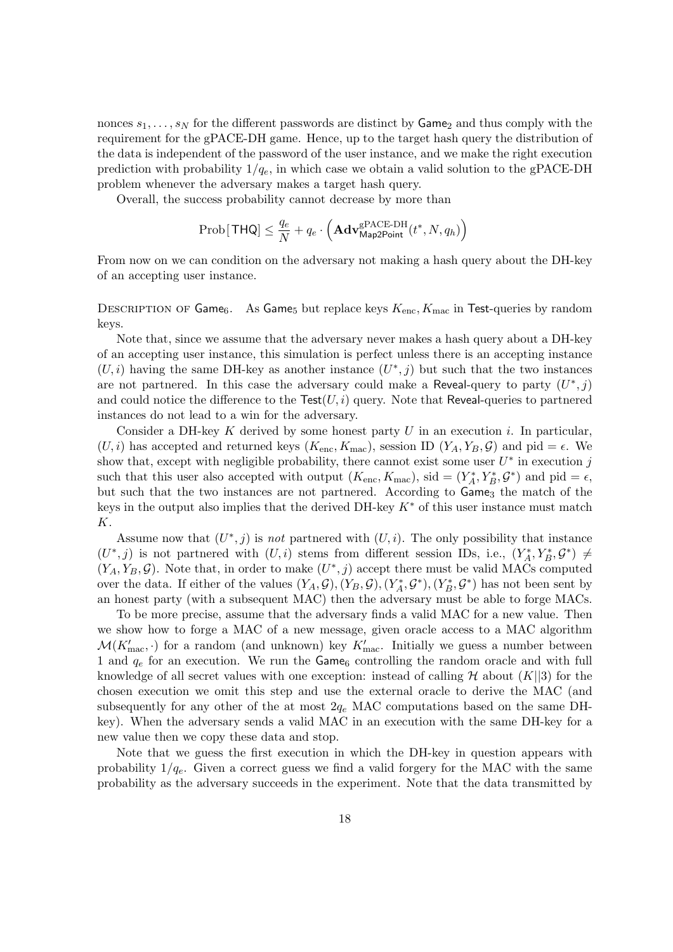nonces  $s_1, \ldots, s_N$  for the different passwords are distinct by Game<sub>2</sub> and thus comply with the requirement for the gPACE-DH game. Hence, up to the target hash query the distribution of the data is independent of the password of the user instance, and we make the right execution prediction with probability  $1/q_e$ , in which case we obtain a valid solution to the gPACE-DH problem whenever the adversary makes a target hash query.

Overall, the success probability cannot decrease by more than

$$
\text{Prob}[\text{THQ}] \leq \frac{q_e}{N} + q_e \cdot \left(\textbf{Adv}_{\text{Map2Point}}^{\text{gPACE-DH}}(t^*, N, q_h)\right)
$$

From now on we can condition on the adversary not making a hash query about the DH-key of an accepting user instance.

DESCRIPTION OF Game<sub>6</sub>. As Game<sub>5</sub> but replace keys  $K_{\text{enc}}$ ,  $K_{\text{mac}}$  in Test-queries by random keys.

Note that, since we assume that the adversary never makes a hash query about a DH-key of an accepting user instance, this simulation is perfect unless there is an accepting instance  $(U, i)$  having the same DH-key as another instance  $(U^*, j)$  but such that the two instances are not partnered. In this case the adversary could make a Reveal-query to party  $(U^*, j)$ and could notice the difference to the  $\textsf{Test}(U, i)$  query. Note that Reveal-queries to partnered instances do not lead to a win for the adversary.

Consider a DH-key K derived by some honest party U in an execution i. In particular,  $(U, i)$  has accepted and returned keys  $(K_{\text{enc}}, K_{\text{mac}})$ , session ID  $(Y_A, Y_B, \mathcal{G})$  and pid =  $\epsilon$ . We show that, except with negligible probability, there cannot exist some user  $U^*$  in execution j such that this user also accepted with output  $(K_{\text{enc}}, K_{\text{mac}})$ , sid =  $(Y_A^*, Y_B^*, \mathcal{G}^*)$  and pid =  $\epsilon$ , but such that the two instances are not partnered. According to Game<sub>3</sub> the match of the keys in the output also implies that the derived DH-key  $K^*$  of this user instance must match K.

Assume now that  $(U^*, j)$  is not partnered with  $(U, i)$ . The only possibility that instance  $(U^*,j)$  is not partnered with  $(U,i)$  stems from different session IDs, i.e.,  $(Y_A^*, Y_B^*, \mathcal{G}^*) \neq$  $(Y_A, Y_B, \mathcal{G})$ . Note that, in order to make  $(U^*, j)$  accept there must be valid MACs computed over the data. If either of the values  $(Y_A, \mathcal{G}), (Y_B, \mathcal{G}), (Y_A^*, \mathcal{G}^*), (Y_B^*, \mathcal{G}^*)$  has not been sent by an honest party (with a subsequent MAC) then the adversary must be able to forge MACs.

To be more precise, assume that the adversary finds a valid MAC for a new value. Then we show how to forge a MAC of a new message, given oracle access to a MAC algorithm  $\mathcal{M}(K'_{\text{mac}}, \cdot)$  for a random (and unknown) key  $K'_{\text{mac}}$ . Initially we guess a number between 1 and  $q_e$  for an execution. We run the  $\mathsf{Game}_6$  controlling the random oracle and with full knowledge of all secret values with one exception: instead of calling  $\mathcal{H}$  about  $(K||3)$  for the chosen execution we omit this step and use the external oracle to derive the MAC (and subsequently for any other of the at most  $2q_e$  MAC computations based on the same DHkey). When the adversary sends a valid MAC in an execution with the same DH-key for a new value then we copy these data and stop.

Note that we guess the first execution in which the DH-key in question appears with probability  $1/q_e$ . Given a correct guess we find a valid forgery for the MAC with the same probability as the adversary succeeds in the experiment. Note that the data transmitted by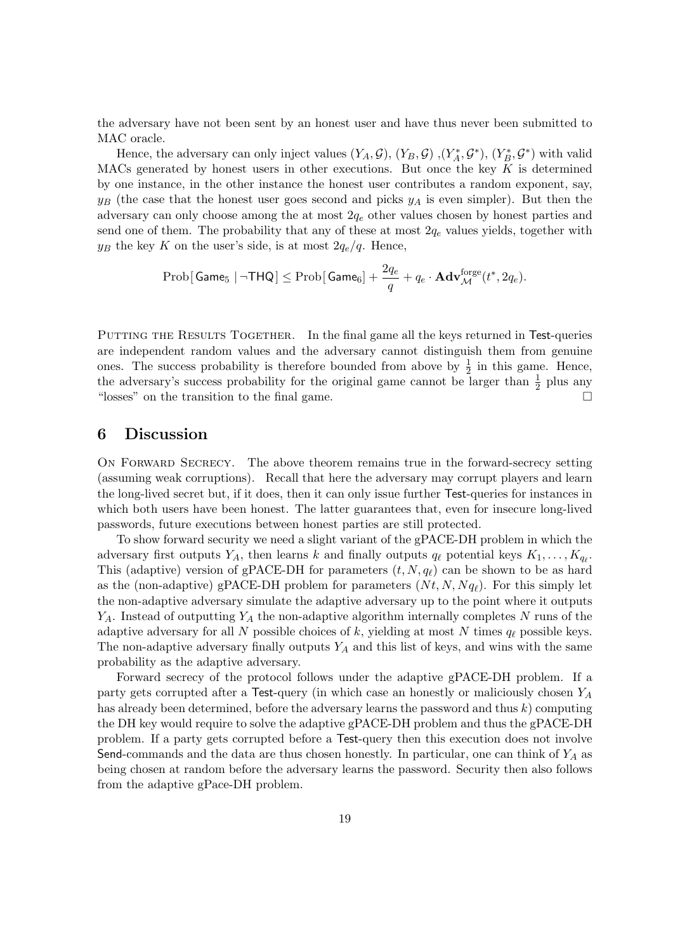the adversary have not been sent by an honest user and have thus never been submitted to MAC oracle.

Hence, the adversary can only inject values  $(Y_A, \mathcal{G}), (Y_B, \mathcal{G}), (Y_A^*, \mathcal{G}^*), (Y_B^*, \mathcal{G}^*)$  with valid MACs generated by honest users in other executions. But once the key  $K$  is determined by one instance, in the other instance the honest user contributes a random exponent, say,  $y_B$  (the case that the honest user goes second and picks  $y_A$  is even simpler). But then the adversary can only choose among the at most  $2q_e$  other values chosen by honest parties and send one of them. The probability that any of these at most  $2q_e$  values yields, together with  $y_B$  the key K on the user's side, is at most  $2q_e/q$ . Hence,

$$
\textrm{Prob}\!\left[\, \mathsf{Game}_5 \; \middle| \, \neg \mathsf{THQ} \right] \le \textrm{Prob}\!\left[\, \mathsf{Game}_6 \right] + \frac{2q_e}{q} + q_e \cdot \mathbf{Adv}_{\mathcal{M}}^{\text{forget}}(t^*, 2q_e).
$$

PUTTING THE RESULTS TOGETHER. In the final game all the keys returned in Test-queries are independent random values and the adversary cannot distinguish them from genuine ones. The success probability is therefore bounded from above by  $\frac{1}{2}$  in this game. Hence, the adversary's success probability for the original game cannot be larger than  $\frac{1}{2}$  plus any "losses" on the transition to the final game.

# 6 Discussion

On Forward Secrecy. The above theorem remains true in the forward-secrecy setting (assuming weak corruptions). Recall that here the adversary may corrupt players and learn the long-lived secret but, if it does, then it can only issue further Test-queries for instances in which both users have been honest. The latter guarantees that, even for insecure long-lived passwords, future executions between honest parties are still protected.

To show forward security we need a slight variant of the gPACE-DH problem in which the adversary first outputs  $Y_A$ , then learns k and finally outputs  $q_\ell$  potential keys  $K_1, \ldots, K_{q_\ell}$ . This (adaptive) version of gPACE-DH for parameters  $(t, N, q_\ell)$  can be shown to be as hard as the (non-adaptive) gPACE-DH problem for parameters  $(Nt, N, Nq_\ell)$ . For this simply let the non-adaptive adversary simulate the adaptive adversary up to the point where it outputs  $Y_A$ . Instead of outputting  $Y_A$  the non-adaptive algorithm internally completes N runs of the adaptive adversary for all N possible choices of k, yielding at most N times  $q_\ell$  possible keys. The non-adaptive adversary finally outputs  $Y_A$  and this list of keys, and wins with the same probability as the adaptive adversary.

Forward secrecy of the protocol follows under the adaptive gPACE-DH problem. If a party gets corrupted after a Test-query (in which case an honestly or maliciously chosen  $Y_A$ has already been determined, before the adversary learns the password and thus  $k$ ) computing the DH key would require to solve the adaptive gPACE-DH problem and thus the gPACE-DH problem. If a party gets corrupted before a Test-query then this execution does not involve Send-commands and the data are thus chosen honestly. In particular, one can think of  $Y_A$  as being chosen at random before the adversary learns the password. Security then also follows from the adaptive gPace-DH problem.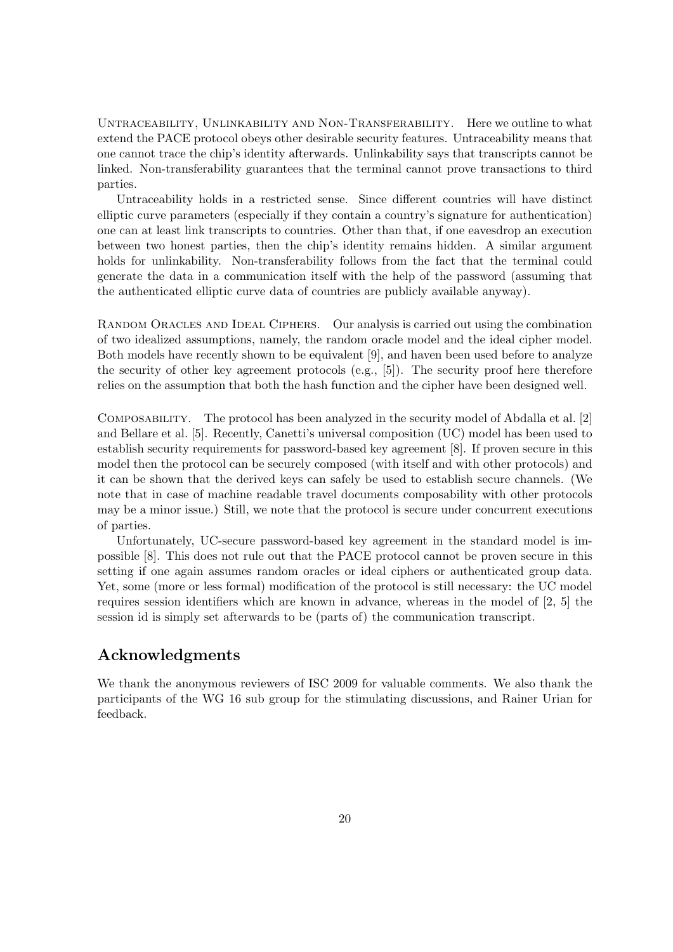Untraceability, Unlinkability and Non-Transferability. Here we outline to what extend the PACE protocol obeys other desirable security features. Untraceability means that one cannot trace the chip's identity afterwards. Unlinkability says that transcripts cannot be linked. Non-transferability guarantees that the terminal cannot prove transactions to third parties.

Untraceability holds in a restricted sense. Since different countries will have distinct elliptic curve parameters (especially if they contain a country's signature for authentication) one can at least link transcripts to countries. Other than that, if one eavesdrop an execution between two honest parties, then the chip's identity remains hidden. A similar argument holds for unlinkability. Non-transferability follows from the fact that the terminal could generate the data in a communication itself with the help of the password (assuming that the authenticated elliptic curve data of countries are publicly available anyway).

Random Oracles and Ideal Ciphers. Our analysis is carried out using the combination of two idealized assumptions, namely, the random oracle model and the ideal cipher model. Both models have recently shown to be equivalent [9], and haven been used before to analyze the security of other key agreement protocols (e.g., [5]). The security proof here therefore relies on the assumption that both the hash function and the cipher have been designed well.

Composability. The protocol has been analyzed in the security model of Abdalla et al. [2] and Bellare et al. [5]. Recently, Canetti's universal composition (UC) model has been used to establish security requirements for password-based key agreement [8]. If proven secure in this model then the protocol can be securely composed (with itself and with other protocols) and it can be shown that the derived keys can safely be used to establish secure channels. (We note that in case of machine readable travel documents composability with other protocols may be a minor issue.) Still, we note that the protocol is secure under concurrent executions of parties.

Unfortunately, UC-secure password-based key agreement in the standard model is impossible [8]. This does not rule out that the PACE protocol cannot be proven secure in this setting if one again assumes random oracles or ideal ciphers or authenticated group data. Yet, some (more or less formal) modification of the protocol is still necessary: the UC model requires session identifiers which are known in advance, whereas in the model of [2, 5] the session id is simply set afterwards to be (parts of) the communication transcript.

# Acknowledgments

We thank the anonymous reviewers of ISC 2009 for valuable comments. We also thank the participants of the WG 16 sub group for the stimulating discussions, and Rainer Urian for feedback.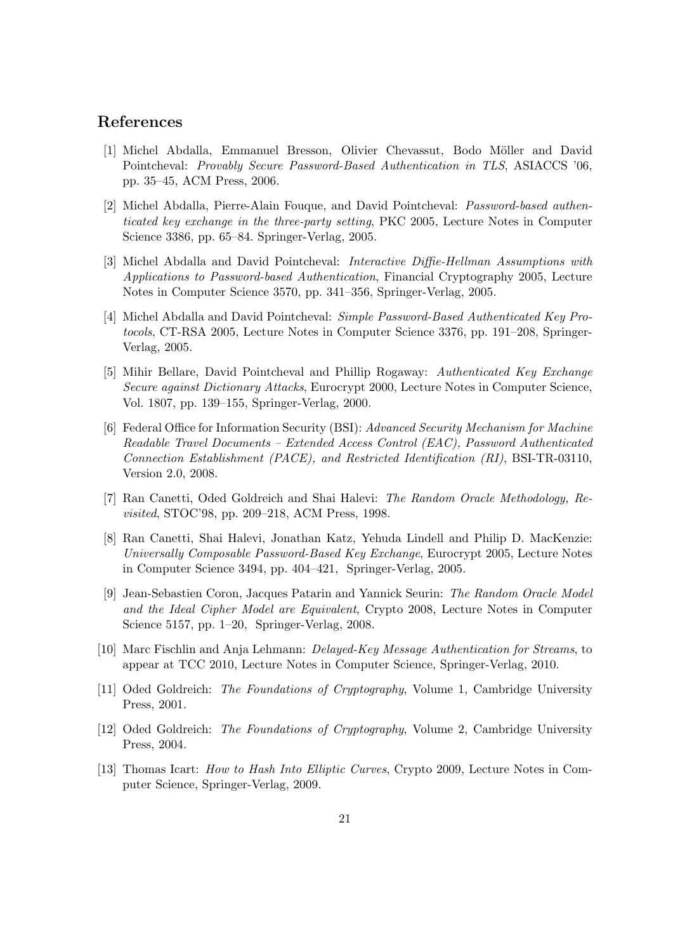# References

- [1] Michel Abdalla, Emmanuel Bresson, Olivier Chevassut, Bodo Möller and David Pointcheval: Provably Secure Password-Based Authentication in TLS, ASIACCS '06, pp. 35–45, ACM Press, 2006.
- [2] Michel Abdalla, Pierre-Alain Fouque, and David Pointcheval: Password-based authenticated key exchange in the three-party setting, PKC 2005, Lecture Notes in Computer Science 3386, pp. 65–84. Springer-Verlag, 2005.
- [3] Michel Abdalla and David Pointcheval: Interactive Diffie-Hellman Assumptions with Applications to Password-based Authentication, Financial Cryptography 2005, Lecture Notes in Computer Science 3570, pp. 341–356, Springer-Verlag, 2005.
- [4] Michel Abdalla and David Pointcheval: Simple Password-Based Authenticated Key Protocols, CT-RSA 2005, Lecture Notes in Computer Science 3376, pp. 191–208, Springer-Verlag, 2005.
- [5] Mihir Bellare, David Pointcheval and Phillip Rogaway: Authenticated Key Exchange Secure against Dictionary Attacks, Eurocrypt 2000, Lecture Notes in Computer Science, Vol. 1807, pp. 139–155, Springer-Verlag, 2000.
- [6] Federal Office for Information Security (BSI): Advanced Security Mechanism for Machine Readable Travel Documents – Extended Access Control (EAC), Password Authenticated Connection Establishment (PACE), and Restricted Identification (RI), BSI-TR-03110, Version 2.0, 2008.
- [7] Ran Canetti, Oded Goldreich and Shai Halevi: The Random Oracle Methodology, Revisited, STOC'98, pp. 209–218, ACM Press, 1998.
- [8] Ran Canetti, Shai Halevi, Jonathan Katz, Yehuda Lindell and Philip D. MacKenzie: Universally Composable Password-Based Key Exchange, Eurocrypt 2005, Lecture Notes in Computer Science 3494, pp. 404–421, Springer-Verlag, 2005.
- [9] Jean-Sebastien Coron, Jacques Patarin and Yannick Seurin: The Random Oracle Model and the Ideal Cipher Model are Equivalent, Crypto 2008, Lecture Notes in Computer Science 5157, pp. 1–20, Springer-Verlag, 2008.
- [10] Marc Fischlin and Anja Lehmann: Delayed-Key Message Authentication for Streams, to appear at TCC 2010, Lecture Notes in Computer Science, Springer-Verlag, 2010.
- [11] Oded Goldreich: The Foundations of Cryptography, Volume 1, Cambridge University Press, 2001.
- [12] Oded Goldreich: The Foundations of Cryptography, Volume 2, Cambridge University Press, 2004.
- [13] Thomas Icart: How to Hash Into Elliptic Curves, Crypto 2009, Lecture Notes in Computer Science, Springer-Verlag, 2009.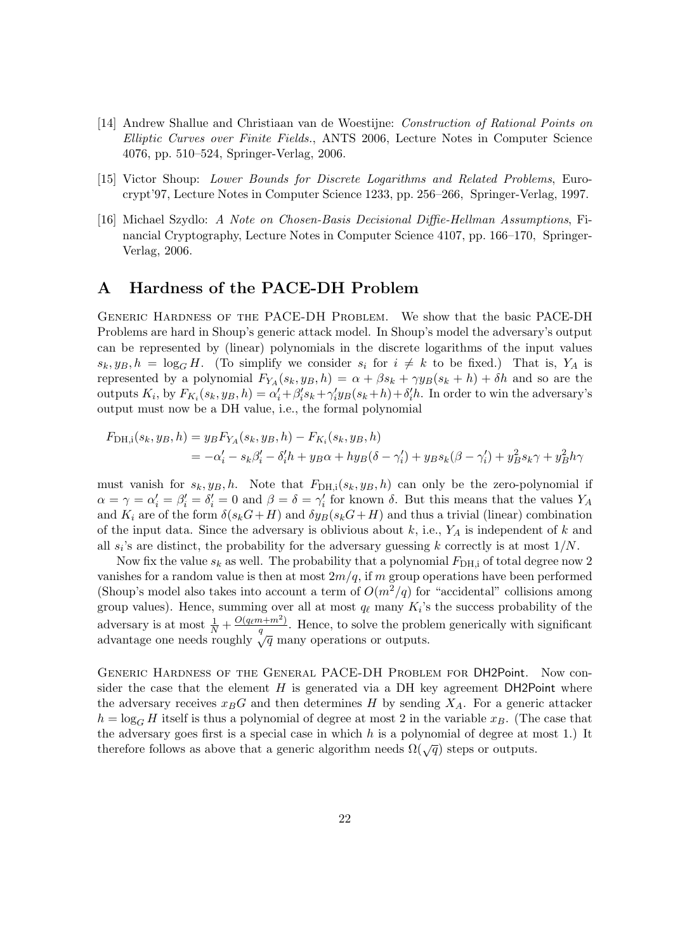- [14] Andrew Shallue and Christiaan van de Woestijne: Construction of Rational Points on Elliptic Curves over Finite Fields., ANTS 2006, Lecture Notes in Computer Science 4076, pp. 510–524, Springer-Verlag, 2006.
- [15] Victor Shoup: Lower Bounds for Discrete Logarithms and Related Problems, Eurocrypt'97, Lecture Notes in Computer Science 1233, pp. 256–266, Springer-Verlag, 1997.
- [16] Michael Szydlo: A Note on Chosen-Basis Decisional Diffie-Hellman Assumptions, Financial Cryptography, Lecture Notes in Computer Science 4107, pp. 166–170, Springer-Verlag, 2006.

# A Hardness of the PACE-DH Problem

Generic Hardness of the PACE-DH Problem. We show that the basic PACE-DH Problems are hard in Shoup's generic attack model. In Shoup's model the adversary's output can be represented by (linear) polynomials in the discrete logarithms of the input values  $s_k, y_B, h = \log_G H$ . (To simplify we consider  $s_i$  for  $i \neq k$  to be fixed.) That is,  $Y_A$  is represented by a polynomial  $F_{Y_A}(s_k, y_B, h) = \alpha + \beta s_k + \gamma y_B(s_k + h) + \delta h$  and so are the outputs  $K_i$ , by  $F_{K_i}(s_k, y_B, h) = \alpha'_i + \beta'_i s_k + \gamma'_i y_B(s_k + h) + \delta'_i h$ . In order to win the adversary's output must now be a DH value, i.e., the formal polynomial

$$
F_{\text{DH},i}(s_k, y_B, h) = y_B F_{Y_A}(s_k, y_B, h) - F_{K_i}(s_k, y_B, h)
$$
  
=  $-\alpha'_i - s_k \beta'_i - \delta'_i h + y_B \alpha + h y_B(\delta - \gamma'_i) + y_B s_k (\beta - \gamma'_i) + y_B^2 s_k \gamma + y_B^2 h \gamma$ 

must vanish for  $s_k, y_B, h$ . Note that  $F_{\text{DH},i}(s_k, y_B, h)$  can only be the zero-polynomial if  $\alpha = \gamma = \alpha'_i = \beta'_i = \delta'_i = 0$  and  $\beta = \delta = \gamma'_i$  for known  $\delta$ . But this means that the values  $Y_A$ and  $K_i$  are of the form  $\delta(s_kG+H)$  and  $\delta y_B(s_kG+H)$  and thus a trivial (linear) combination of the input data. Since the adversary is oblivious about  $k$ , i.e.,  $Y_A$  is independent of k and all  $s_i$ 's are distinct, the probability for the adversary guessing k correctly is at most  $1/N$ .

Now fix the value  $s_k$  as well. The probability that a polynomial  $F_{\text{DH},i}$  of total degree now 2 vanishes for a random value is then at most  $2m/q$ , if m group operations have been performed (Shoup's model also takes into account a term of  $O(m^2/q)$  for "accidental" collisions among group values). Hence, summing over all at most  $q_\ell$  many  $K_i$ 's the success probability of the adversary is at most  $\frac{1}{N} + \frac{O(q_{\ell}m+m^2)}{q}$ adversary is at most  $\frac{1}{N} + \frac{O(q_\ell m + m^2)}{q}$ . Hence, to solve the problem generically with significant advantage one needs roughly  $\sqrt{q}$  many operations or outputs.

Generic Hardness of the General PACE-DH Problem for DH2Point. Now consider the case that the element H is generated via a DH key agreement DH2Point where the adversary receives  $x_B$ G and then determines H by sending  $X_A$ . For a generic attacker  $h = \log_G H$  itself is thus a polynomial of degree at most 2 in the variable  $x_B$ . (The case that the adversary goes first is a special case in which  $h$  is a polynomial of degree at most 1.) It therefore follows as above that a generic algorithm needs  $\Omega(\sqrt{q})$  steps or outputs.